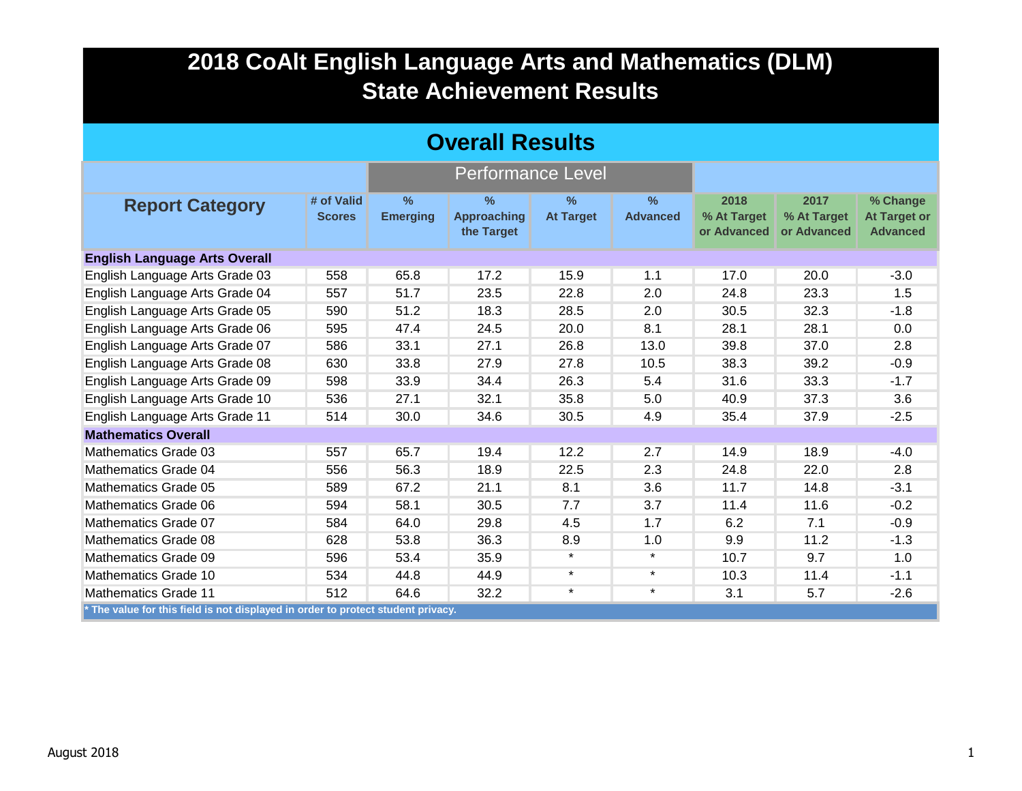| <b>Overall Results</b>                                                           |                             |                         |                                                   |                                   |                      |                                    |                                    |                                                    |  |
|----------------------------------------------------------------------------------|-----------------------------|-------------------------|---------------------------------------------------|-----------------------------------|----------------------|------------------------------------|------------------------------------|----------------------------------------------------|--|
|                                                                                  |                             |                         | <b>Performance Level</b>                          |                                   |                      |                                    |                                    |                                                    |  |
| <b>Report Category</b>                                                           | # of Valid<br><b>Scores</b> | $\%$<br><b>Emerging</b> | $\frac{9}{6}$<br><b>Approaching</b><br>the Target | $\frac{9}{6}$<br><b>At Target</b> | %<br><b>Advanced</b> | 2018<br>% At Target<br>or Advanced | 2017<br>% At Target<br>or Advanced | % Change<br><b>At Target or</b><br><b>Advanced</b> |  |
| <b>English Language Arts Overall</b>                                             |                             |                         |                                                   |                                   |                      |                                    |                                    |                                                    |  |
| English Language Arts Grade 03                                                   | 558                         | 65.8                    | 17.2                                              | 15.9                              | 1.1                  | 17.0                               | 20.0                               | $-3.0$                                             |  |
| English Language Arts Grade 04                                                   | 557                         | 51.7                    | 23.5                                              | 22.8                              | 2.0                  | 24.8                               | 23.3                               | 1.5                                                |  |
| English Language Arts Grade 05                                                   | 590                         | 51.2                    | 18.3                                              | 28.5                              | 2.0                  | 30.5                               | 32.3                               | $-1.8$                                             |  |
| English Language Arts Grade 06                                                   | 595                         | 47.4                    | 24.5                                              | 20.0                              | 8.1                  | 28.1                               | 28.1                               | 0.0                                                |  |
| English Language Arts Grade 07                                                   | 586                         | 33.1                    | 27.1                                              | 26.8                              | 13.0                 | 39.8                               | 37.0                               | 2.8                                                |  |
| English Language Arts Grade 08                                                   | 630                         | 33.8                    | 27.9                                              | 27.8                              | 10.5                 | 38.3                               | 39.2                               | $-0.9$                                             |  |
| English Language Arts Grade 09                                                   | 598                         | 33.9                    | 34.4                                              | 26.3                              | 5.4                  | 31.6                               | 33.3                               | $-1.7$                                             |  |
| English Language Arts Grade 10                                                   | 536                         | 27.1                    | 32.1                                              | 35.8                              | 5.0                  | 40.9                               | 37.3                               | 3.6                                                |  |
| English Language Arts Grade 11                                                   | 514                         | 30.0                    | 34.6                                              | 30.5                              | 4.9                  | 35.4                               | 37.9                               | $-2.5$                                             |  |
| <b>Mathematics Overall</b>                                                       |                             |                         |                                                   |                                   |                      |                                    |                                    |                                                    |  |
| Mathematics Grade 03                                                             | 557                         | 65.7                    | 19.4                                              | 12.2                              | 2.7                  | 14.9                               | 18.9                               | $-4.0$                                             |  |
| Mathematics Grade 04                                                             | 556                         | 56.3                    | 18.9                                              | 22.5                              | 2.3                  | 24.8                               | 22.0                               | 2.8                                                |  |
| Mathematics Grade 05                                                             | 589                         | 67.2                    | 21.1                                              | 8.1                               | 3.6                  | 11.7                               | 14.8                               | $-3.1$                                             |  |
| Mathematics Grade 06                                                             | 594                         | 58.1                    | 30.5                                              | 7.7                               | 3.7                  | 11.4                               | 11.6                               | $-0.2$                                             |  |
| Mathematics Grade 07                                                             | 584                         | 64.0                    | 29.8                                              | 4.5                               | 1.7                  | 6.2                                | 7.1                                | $-0.9$                                             |  |
| Mathematics Grade 08                                                             | 628                         | 53.8                    | 36.3                                              | 8.9                               | 1.0                  | 9.9                                | 11.2                               | $-1.3$                                             |  |
| Mathematics Grade 09                                                             | 596                         | 53.4                    | 35.9                                              | $\star$                           | $\star$              | 10.7                               | 9.7                                | 1.0                                                |  |
| <b>Mathematics Grade 10</b>                                                      | 534                         | 44.8                    | 44.9                                              | $\star$                           | $\star$              | 10.3                               | 11.4                               | $-1.1$                                             |  |
| <b>Mathematics Grade 11</b>                                                      | 512                         | 64.6                    | 32.2                                              | $\star$                           | $\star$              | 3.1                                | 5.7                                | $-2.6$                                             |  |
| * The value for this field is not displayed in order to protect student privacy. |                             |                         |                                                   |                                   |                      |                                    |                                    |                                                    |  |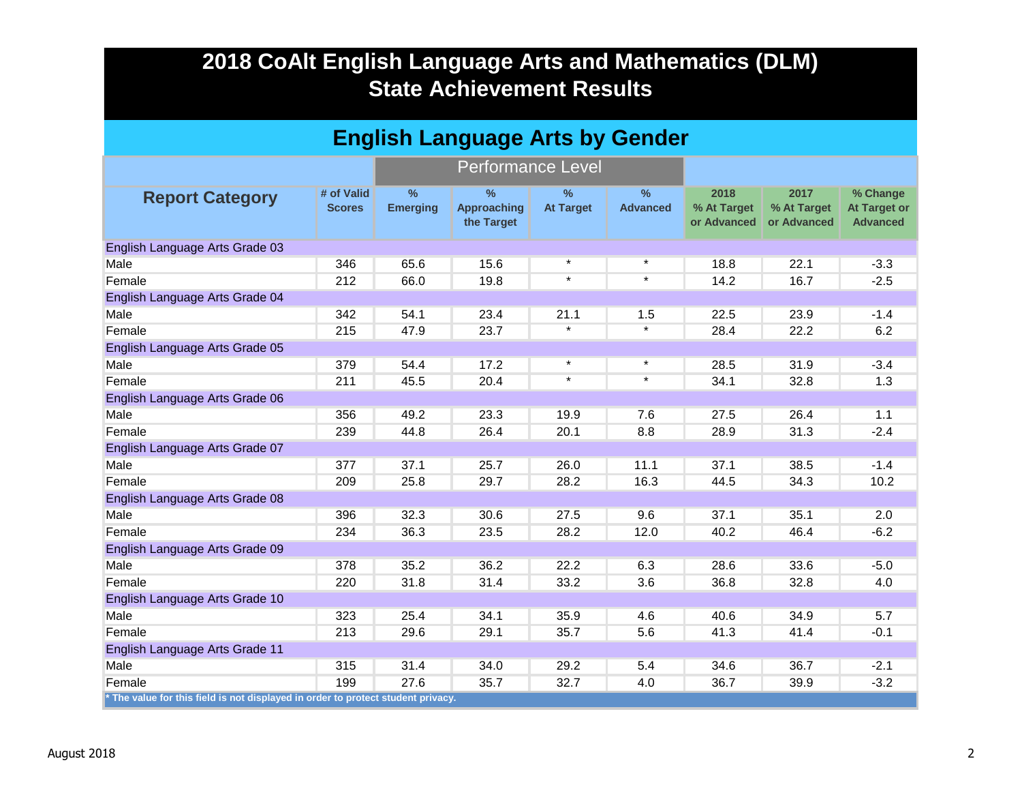| <b>English Language Arts by Gender</b>                                           |                             |                         |                                          |                                   |                         |                                    |                                    |                                                    |  |
|----------------------------------------------------------------------------------|-----------------------------|-------------------------|------------------------------------------|-----------------------------------|-------------------------|------------------------------------|------------------------------------|----------------------------------------------------|--|
|                                                                                  |                             |                         | <b>Performance Level</b>                 |                                   |                         |                                    |                                    |                                                    |  |
| <b>Report Category</b>                                                           | # of Valid<br><b>Scores</b> | $\%$<br><b>Emerging</b> | $\%$<br><b>Approaching</b><br>the Target | $\frac{9}{6}$<br><b>At Target</b> | $\%$<br><b>Advanced</b> | 2018<br>% At Target<br>or Advanced | 2017<br>% At Target<br>or Advanced | % Change<br><b>At Target or</b><br><b>Advanced</b> |  |
| English Language Arts Grade 03                                                   |                             |                         |                                          |                                   |                         |                                    |                                    |                                                    |  |
| Male                                                                             | 346                         | 65.6                    | 15.6                                     | $\star$                           | $\star$                 | 18.8                               | 22.1                               | $-3.3$                                             |  |
| Female                                                                           | 212                         | 66.0                    | 19.8                                     | $\star$                           | $\star$                 | 14.2                               | 16.7                               | $-2.5$                                             |  |
| English Language Arts Grade 04                                                   |                             |                         |                                          |                                   |                         |                                    |                                    |                                                    |  |
| Male                                                                             | 342                         | 54.1                    | 23.4                                     | 21.1                              | 1.5                     | 22.5                               | 23.9                               | $-1.4$                                             |  |
| Female                                                                           | 215                         | 47.9                    | 23.7                                     | $\star$                           | $\star$                 | 28.4                               | 22.2                               | 6.2                                                |  |
| English Language Arts Grade 05                                                   |                             |                         |                                          |                                   |                         |                                    |                                    |                                                    |  |
| Male                                                                             | 379                         | 54.4                    | 17.2                                     | $\star$                           | $\star$                 | 28.5                               | 31.9                               | $-3.4$                                             |  |
| Female                                                                           | 211                         | 45.5                    | 20.4                                     | $\star$                           | $\star$                 | 34.1                               | 32.8                               | 1.3                                                |  |
| English Language Arts Grade 06                                                   |                             |                         |                                          |                                   |                         |                                    |                                    |                                                    |  |
| Male                                                                             | 356                         | 49.2                    | 23.3                                     | 19.9                              | 7.6                     | 27.5                               | 26.4                               | 1.1                                                |  |
| Female                                                                           | 239                         | 44.8                    | 26.4                                     | 20.1                              | 8.8                     | 28.9                               | 31.3                               | $-2.4$                                             |  |
| English Language Arts Grade 07                                                   |                             |                         |                                          |                                   |                         |                                    |                                    |                                                    |  |
| Male                                                                             | 377                         | 37.1                    | 25.7                                     | 26.0                              | 11.1                    | 37.1                               | 38.5                               | $-1.4$                                             |  |
| Female                                                                           | 209                         | 25.8                    | 29.7                                     | 28.2                              | 16.3                    | 44.5                               | 34.3                               | 10.2                                               |  |
| English Language Arts Grade 08                                                   |                             |                         |                                          |                                   |                         |                                    |                                    |                                                    |  |
| Male                                                                             | 396                         | 32.3                    | 30.6                                     | 27.5                              | 9.6                     | 37.1                               | 35.1                               | 2.0                                                |  |
| Female                                                                           | 234                         | 36.3                    | 23.5                                     | 28.2                              | 12.0                    | 40.2                               | 46.4                               | $-6.2$                                             |  |
| English Language Arts Grade 09                                                   |                             |                         |                                          |                                   |                         |                                    |                                    |                                                    |  |
| Male                                                                             | 378                         | 35.2                    | 36.2                                     | 22.2                              | 6.3                     | 28.6                               | 33.6                               | $-5.0$                                             |  |
| Female                                                                           | 220                         | 31.8                    | 31.4                                     | 33.2                              | 3.6                     | 36.8                               | 32.8                               | 4.0                                                |  |
| English Language Arts Grade 10                                                   |                             |                         |                                          |                                   |                         |                                    |                                    |                                                    |  |
| Male                                                                             | 323                         | 25.4                    | 34.1                                     | 35.9                              | 4.6                     | 40.6                               | 34.9                               | 5.7                                                |  |
| Female                                                                           | 213                         | 29.6                    | 29.1                                     | 35.7                              | 5.6                     | 41.3                               | 41.4                               | $-0.1$                                             |  |
| English Language Arts Grade 11                                                   |                             |                         |                                          |                                   |                         |                                    |                                    |                                                    |  |
| Male                                                                             | 315                         | 31.4                    | 34.0                                     | 29.2                              | 5.4                     | 34.6                               | 36.7                               | $-2.1$                                             |  |
| Female                                                                           | 199                         | 27.6                    | 35.7                                     | 32.7                              | 4.0                     | 36.7                               | 39.9                               | $-3.2$                                             |  |
| * The value for this field is not displayed in order to protect student privacy. |                             |                         |                                          |                                   |                         |                                    |                                    |                                                    |  |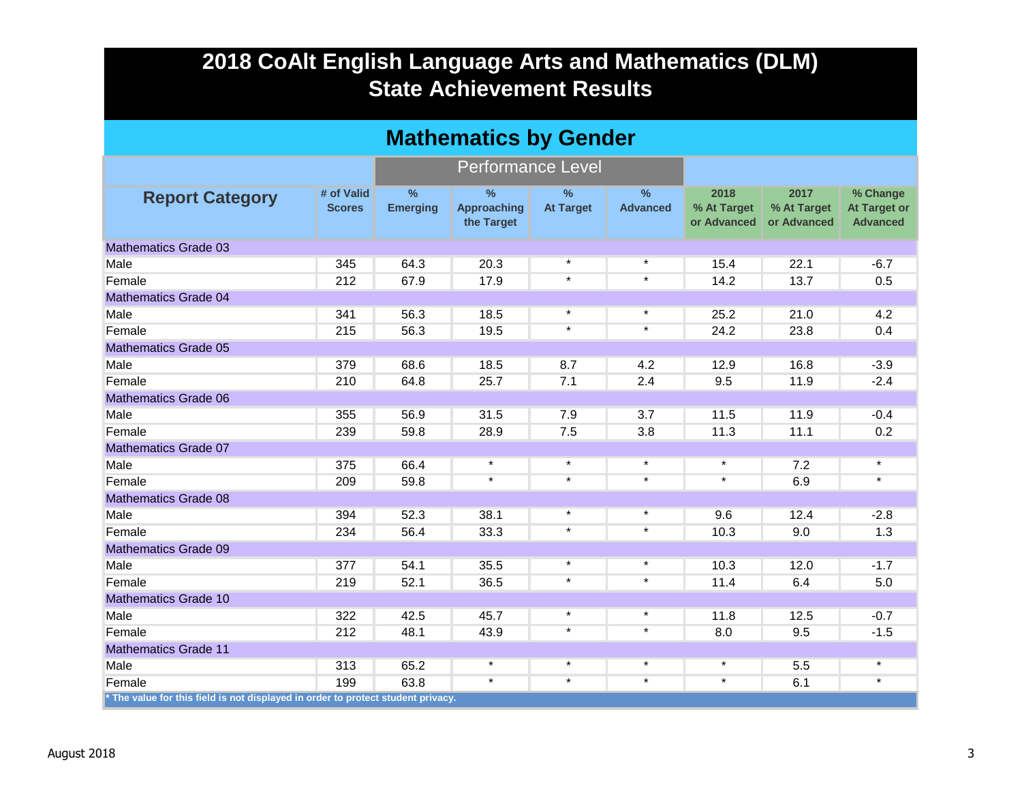|                                                                                  | <b>Mathematics by Gender</b> |                                  |                                                   |                          |                                  |                                    |                                    |                                                    |  |  |  |
|----------------------------------------------------------------------------------|------------------------------|----------------------------------|---------------------------------------------------|--------------------------|----------------------------------|------------------------------------|------------------------------------|----------------------------------------------------|--|--|--|
|                                                                                  |                              |                                  | <b>Performance Level</b>                          |                          |                                  |                                    |                                    |                                                    |  |  |  |
| <b>Report Category</b>                                                           | # of Valid<br><b>Scores</b>  | $\frac{9}{6}$<br><b>Emerging</b> | $\frac{9}{6}$<br><b>Approaching</b><br>the Target | $\%$<br><b>At Target</b> | $\frac{9}{6}$<br><b>Advanced</b> | 2018<br>% At Target<br>or Advanced | 2017<br>% At Target<br>or Advanced | % Change<br><b>At Target or</b><br><b>Advanced</b> |  |  |  |
| <b>Mathematics Grade 03</b>                                                      |                              |                                  |                                                   |                          |                                  |                                    |                                    |                                                    |  |  |  |
| Male                                                                             | 345                          | 64.3                             | 20.3                                              | $\star$                  | $\star$                          | 15.4                               | 22.1                               | $-6.7$                                             |  |  |  |
| Female                                                                           | 212                          | 67.9                             | 17.9                                              | $\star$                  | $\star$                          | 14.2                               | 13.7                               | 0.5                                                |  |  |  |
| <b>Mathematics Grade 04</b>                                                      |                              |                                  |                                                   |                          |                                  |                                    |                                    |                                                    |  |  |  |
| Male                                                                             | 341                          | 56.3                             | 18.5                                              | $\star$                  | $\star$                          | 25.2                               | 21.0                               | 4.2                                                |  |  |  |
| Female                                                                           | 215                          | 56.3                             | 19.5                                              | $\star$                  | $\star$                          | 24.2                               | 23.8                               | 0.4                                                |  |  |  |
| <b>Mathematics Grade 05</b>                                                      |                              |                                  |                                                   |                          |                                  |                                    |                                    |                                                    |  |  |  |
| Male                                                                             | 379                          | 68.6                             | 18.5                                              | 8.7                      | 4.2                              | 12.9                               | 16.8                               | $-3.9$                                             |  |  |  |
| Female                                                                           | 210                          | 64.8                             | 25.7                                              | 7.1                      | 2.4                              | 9.5                                | 11.9                               | $-2.4$                                             |  |  |  |
| <b>Mathematics Grade 06</b>                                                      |                              |                                  |                                                   |                          |                                  |                                    |                                    |                                                    |  |  |  |
| Male                                                                             | 355                          | 56.9                             | 31.5                                              | 7.9                      | 3.7                              | 11.5                               | 11.9                               | $-0.4$                                             |  |  |  |
| Female                                                                           | 239                          | 59.8                             | 28.9                                              | 7.5                      | 3.8                              | 11.3                               | 11.1                               | 0.2                                                |  |  |  |
| <b>Mathematics Grade 07</b>                                                      |                              |                                  |                                                   |                          |                                  |                                    |                                    |                                                    |  |  |  |
| Male                                                                             | 375                          | 66.4                             | $\star$                                           | $\star$                  | $\star$                          | $\star$                            | 7.2                                | $\star$                                            |  |  |  |
| Female                                                                           | 209                          | 59.8                             | $\star$                                           | $\star$                  | $\star$                          | $\star$                            | 6.9                                | $\star$                                            |  |  |  |
| <b>Mathematics Grade 08</b>                                                      |                              |                                  |                                                   |                          |                                  |                                    |                                    |                                                    |  |  |  |
| Male                                                                             | 394                          | 52.3                             | 38.1                                              | $\star$                  | $\star$                          | 9.6                                | 12.4                               | $-2.8$                                             |  |  |  |
| Female                                                                           | 234                          | 56.4                             | 33.3                                              | $\star$                  | $\star$                          | 10.3                               | 9.0                                | 1.3                                                |  |  |  |
| <b>Mathematics Grade 09</b>                                                      |                              |                                  |                                                   |                          |                                  |                                    |                                    |                                                    |  |  |  |
| Male                                                                             | 377                          | 54.1                             | 35.5                                              | $\star$                  | $\star$                          | 10.3                               | 12.0                               | $-1.7$                                             |  |  |  |
| Female                                                                           | 219                          | 52.1                             | 36.5                                              | $\star$                  | $\star$                          | 11.4                               | 6.4                                | 5.0                                                |  |  |  |
| <b>Mathematics Grade 10</b>                                                      |                              |                                  |                                                   |                          |                                  |                                    |                                    |                                                    |  |  |  |
| Male                                                                             | 322                          | 42.5                             | 45.7                                              | $\star$                  | $\star$                          | 11.8                               | 12.5                               | $-0.7$                                             |  |  |  |
| Female                                                                           | 212                          | 48.1                             | 43.9                                              | $\star$                  | $\star$                          | 8.0                                | 9.5                                | $-1.5$                                             |  |  |  |
| <b>Mathematics Grade 11</b>                                                      |                              |                                  |                                                   |                          |                                  |                                    |                                    |                                                    |  |  |  |
| Male                                                                             | 313                          | 65.2                             | $\star$                                           | $\star$                  | $\star$                          | $\star$                            | 5.5                                | $\star$                                            |  |  |  |
| Female                                                                           | 199                          | 63.8                             | $\star$                                           | $\star$                  | $\star$                          | $\star$                            | 6.1                                | $\star$                                            |  |  |  |
| * The value for this field is not displayed in order to protect student privacy. |                              |                                  |                                                   |                          |                                  |                                    |                                    |                                                    |  |  |  |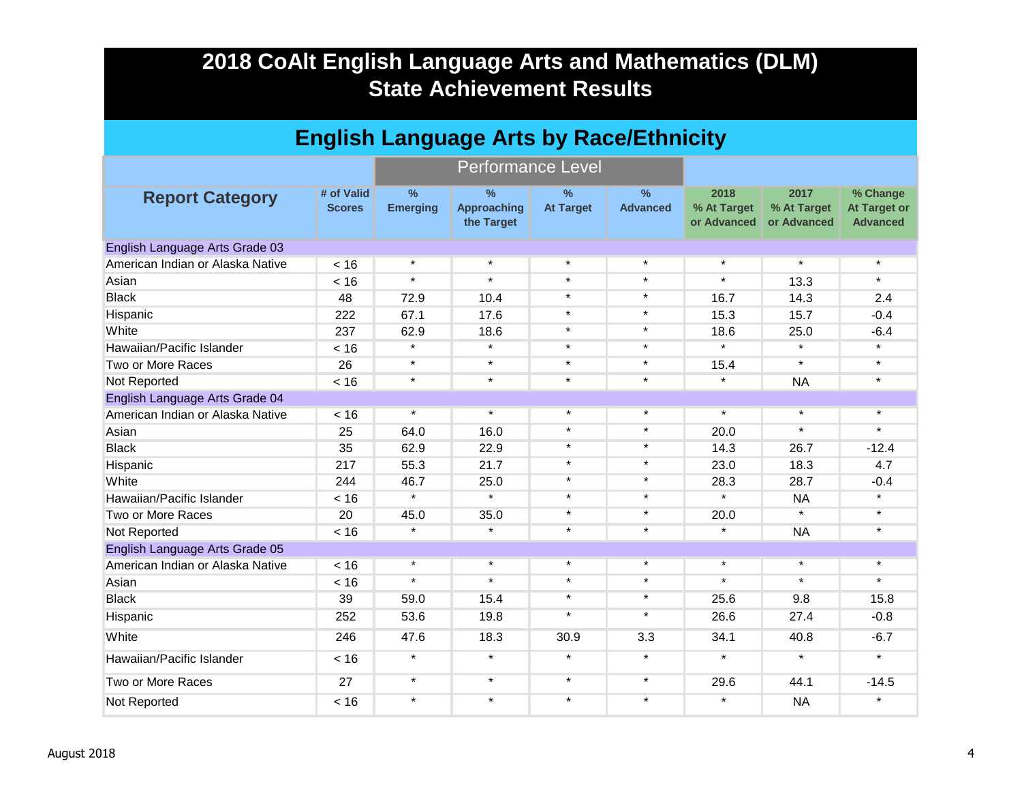| <b>English Language Arts by Race/Ethnicity</b> |                             |                                  |                                                   |                                   |                                  |                                    |                                    |                                                    |  |  |  |
|------------------------------------------------|-----------------------------|----------------------------------|---------------------------------------------------|-----------------------------------|----------------------------------|------------------------------------|------------------------------------|----------------------------------------------------|--|--|--|
|                                                |                             |                                  | <b>Performance Level</b>                          |                                   |                                  |                                    |                                    |                                                    |  |  |  |
| <b>Report Category</b>                         | # of Valid<br><b>Scores</b> | $\frac{9}{6}$<br><b>Emerging</b> | $\frac{9}{6}$<br><b>Approaching</b><br>the Target | $\frac{9}{6}$<br><b>At Target</b> | $\frac{9}{6}$<br><b>Advanced</b> | 2018<br>% At Target<br>or Advanced | 2017<br>% At Target<br>or Advanced | % Change<br><b>At Target or</b><br><b>Advanced</b> |  |  |  |
| English Language Arts Grade 03                 |                             |                                  |                                                   |                                   |                                  |                                    |                                    |                                                    |  |  |  |
| American Indian or Alaska Native               | < 16                        | $\star$                          | $\star$                                           | $\star$                           | $\star$                          | $\star$                            | $\star$                            | $\star$                                            |  |  |  |
| Asian                                          | < 16                        | $\star$                          | $\star$                                           | $\star$                           | $\star$                          | $\star$                            | 13.3                               | $\star$                                            |  |  |  |
| <b>Black</b>                                   | 48                          | 72.9                             | 10.4                                              | $\star$                           | $\star$                          | 16.7                               | 14.3                               | 2.4                                                |  |  |  |
| Hispanic                                       | 222                         | 67.1                             | 17.6                                              | $\star$                           | $\star$                          | 15.3                               | 15.7                               | $-0.4$                                             |  |  |  |
| White                                          | 237                         | 62.9                             | 18.6                                              | $\star$                           | $\star$                          | 18.6                               | 25.0                               | $-6.4$                                             |  |  |  |
| Hawaiian/Pacific Islander                      | < 16                        | $\star$                          | $\star$                                           | $\star$                           | $\star$                          | $\star$                            | $\star$                            | $\star$                                            |  |  |  |
| Two or More Races                              | 26                          | $\star$                          | $\star$                                           | $\star$                           | $\star$                          | 15.4                               | $\star$                            | $\star$                                            |  |  |  |
| Not Reported                                   | < 16                        | $\star$                          | $\star$                                           | $\star$                           | $\star$                          | $\star$                            | <b>NA</b>                          | $\star$                                            |  |  |  |
| English Language Arts Grade 04                 |                             |                                  |                                                   |                                   |                                  |                                    |                                    |                                                    |  |  |  |
| American Indian or Alaska Native               | < 16                        | $\star$                          | $\star$                                           | $\star$                           | $\star$                          | $\star$                            | $\star$                            | $\star$                                            |  |  |  |
| Asian                                          | 25                          | 64.0                             | 16.0                                              | $\star$                           | $\star$                          | 20.0                               | $\star$                            | $\star$                                            |  |  |  |
| <b>Black</b>                                   | 35                          | 62.9                             | 22.9                                              | $\star$                           | $\star$                          | 14.3                               | 26.7                               | $-12.4$                                            |  |  |  |
| Hispanic                                       | 217                         | 55.3                             | 21.7                                              | $\star$                           | $\star$                          | 23.0                               | 18.3                               | 4.7                                                |  |  |  |
| White                                          | 244                         | 46.7                             | 25.0                                              | $\star$                           | $\star$                          | 28.3                               | 28.7                               | $-0.4$                                             |  |  |  |
| Hawaiian/Pacific Islander                      | < 16                        | $\star$                          | $\overline{\mathbf{r}}$                           | $\star$                           | $\star$                          | $\star$                            | <b>NA</b>                          | $\star$                                            |  |  |  |
| Two or More Races                              | 20                          | 45.0                             | 35.0                                              | $\star$                           | $\star$                          | 20.0                               | $\star$                            | $\star$                                            |  |  |  |
| Not Reported                                   | < 16                        | $\star$                          | $\star$                                           | $\star$                           | $\star$                          | $\star$                            | <b>NA</b>                          | $\star$                                            |  |  |  |
| English Language Arts Grade 05                 |                             |                                  |                                                   |                                   |                                  |                                    |                                    |                                                    |  |  |  |
| American Indian or Alaska Native               | < 16                        | $\star$                          | $\star$                                           | $\star$                           | $\star$                          | $\star$                            | $\star$                            | $\star$                                            |  |  |  |
| Asian                                          | < 16                        | $\star$                          | $\star$                                           | $\star$                           | $\star$                          | $\star$                            | $\star$                            | $\star$                                            |  |  |  |
| <b>Black</b>                                   | 39                          | 59.0                             | 15.4                                              | $\star$                           | $\star$                          | 25.6                               | 9.8                                | 15.8                                               |  |  |  |
| Hispanic                                       | 252                         | 53.6                             | 19.8                                              | $\star$                           | $\star$                          | 26.6                               | 27.4                               | $-0.8$                                             |  |  |  |
| White                                          | 246                         | 47.6                             | 18.3                                              | 30.9                              | 3.3                              | 34.1                               | 40.8                               | $-6.7$                                             |  |  |  |
| Hawaiian/Pacific Islander                      | < 16                        | $\star$                          | $\star$                                           | $\star$                           | $\star$                          | $\star$                            | $\star$                            | $\star$                                            |  |  |  |
| Two or More Races                              | 27                          | $\star$                          | $\star$                                           | $\star$                           | $\star$                          | 29.6                               | 44.1                               | $-14.5$                                            |  |  |  |
| Not Reported                                   | < 16                        | $\star$                          | $\star$                                           | $\star$                           | $\star$                          | $\star$                            | <b>NA</b>                          | $\star$                                            |  |  |  |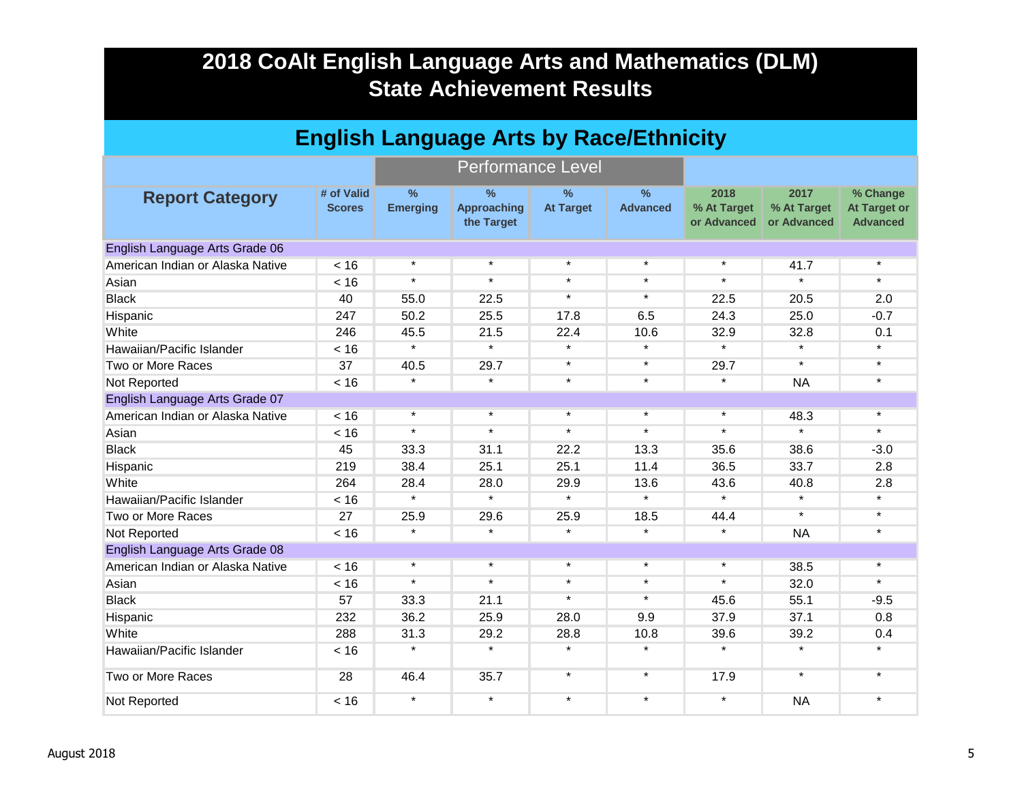| <b>English Language Arts by Race/Ethnicity</b> |                             |                                  |                                                   |                                   |                         |                                    |                            |                                                                                                                                                                                                                                                                                                                                                                                                                                                                                                  |  |  |  |
|------------------------------------------------|-----------------------------|----------------------------------|---------------------------------------------------|-----------------------------------|-------------------------|------------------------------------|----------------------------|--------------------------------------------------------------------------------------------------------------------------------------------------------------------------------------------------------------------------------------------------------------------------------------------------------------------------------------------------------------------------------------------------------------------------------------------------------------------------------------------------|--|--|--|
|                                                |                             |                                  | <b>Performance Level</b>                          |                                   |                         |                                    |                            | 2017<br>% Change<br><b>At Target or</b><br><b>Advanced</b><br>$\star$<br>41.7<br>$\star$<br>$\star$<br>20.5<br>2.0<br>$-0.7$<br>25.0<br>0.1<br>32.8<br>$\star$<br>$\star$<br>$\star$<br>$\star$<br>$\star$<br><b>NA</b><br>$\star$<br>48.3<br>$\star$<br>$\star$<br>38.6<br>$-3.0$<br>33.7<br>2.8<br>40.8<br>2.8<br>$\star$<br>$\star$<br>$\star$<br>$\star$<br><b>NA</b><br>$\star$<br>$\star$<br>38.5<br>$\star$<br>32.0<br>55.1<br>$-9.5$<br>37.1<br>0.8<br>39.2<br>0.4<br>$\star$<br>$\star$ |  |  |  |
| <b>Report Category</b>                         | # of Valid<br><b>Scores</b> | $\frac{9}{6}$<br><b>Emerging</b> | $\frac{9}{6}$<br><b>Approaching</b><br>the Target | $\frac{9}{6}$<br><b>At Target</b> | $\%$<br><b>Advanced</b> | 2018<br>% At Target<br>or Advanced | % At Target<br>or Advanced |                                                                                                                                                                                                                                                                                                                                                                                                                                                                                                  |  |  |  |
| English Language Arts Grade 06                 |                             |                                  |                                                   |                                   |                         |                                    |                            |                                                                                                                                                                                                                                                                                                                                                                                                                                                                                                  |  |  |  |
| American Indian or Alaska Native               | < 16                        | $\star$                          | $\star$                                           | $\star$                           | $\star$                 | $\star$                            |                            |                                                                                                                                                                                                                                                                                                                                                                                                                                                                                                  |  |  |  |
| Asian                                          | < 16                        | $\star$                          | $\star$                                           | $\star$                           | $\star$                 | $\star$                            |                            |                                                                                                                                                                                                                                                                                                                                                                                                                                                                                                  |  |  |  |
| <b>Black</b>                                   | 40                          | 55.0                             | 22.5                                              | $\star$                           | $\star$                 | 22.5                               |                            |                                                                                                                                                                                                                                                                                                                                                                                                                                                                                                  |  |  |  |
| Hispanic                                       | 247                         | 50.2                             | 25.5                                              | 17.8                              | 6.5                     | 24.3                               |                            |                                                                                                                                                                                                                                                                                                                                                                                                                                                                                                  |  |  |  |
| White                                          | 246                         | 45.5                             | 21.5                                              | 22.4                              | 10.6                    | 32.9                               |                            |                                                                                                                                                                                                                                                                                                                                                                                                                                                                                                  |  |  |  |
| Hawaiian/Pacific Islander                      | < 16                        | $\star$                          | $\star$                                           | $\star$                           | $\star$                 | $\star$                            |                            |                                                                                                                                                                                                                                                                                                                                                                                                                                                                                                  |  |  |  |
| Two or More Races                              | 37                          | 40.5                             | 29.7                                              | $\star$                           | $\star$                 | 29.7                               |                            |                                                                                                                                                                                                                                                                                                                                                                                                                                                                                                  |  |  |  |
| Not Reported                                   | < 16                        | $\star$                          | $\star$                                           | $\star$                           | $\star$                 | $\star$                            |                            |                                                                                                                                                                                                                                                                                                                                                                                                                                                                                                  |  |  |  |
| English Language Arts Grade 07                 |                             |                                  |                                                   |                                   |                         |                                    |                            |                                                                                                                                                                                                                                                                                                                                                                                                                                                                                                  |  |  |  |
| American Indian or Alaska Native               | < 16                        | $\star$                          | $\star$                                           | $\star$                           | $\star$                 | $\star$                            |                            |                                                                                                                                                                                                                                                                                                                                                                                                                                                                                                  |  |  |  |
| Asian                                          | < 16                        | $\star$                          | $\star$                                           | $\star$                           | $\star$                 | $\star$                            |                            |                                                                                                                                                                                                                                                                                                                                                                                                                                                                                                  |  |  |  |
| <b>Black</b>                                   | 45                          | 33.3                             | 31.1                                              | 22.2                              | 13.3                    | 35.6                               |                            |                                                                                                                                                                                                                                                                                                                                                                                                                                                                                                  |  |  |  |
| Hispanic                                       | 219                         | 38.4                             | 25.1                                              | 25.1                              | 11.4                    | 36.5                               |                            |                                                                                                                                                                                                                                                                                                                                                                                                                                                                                                  |  |  |  |
| White                                          | 264                         | 28.4                             | 28.0                                              | 29.9                              | 13.6                    | 43.6                               |                            |                                                                                                                                                                                                                                                                                                                                                                                                                                                                                                  |  |  |  |
| Hawaiian/Pacific Islander                      | < 16                        | $\star$                          | $\star$                                           | $\star$                           | $\star$                 | $\star$                            |                            |                                                                                                                                                                                                                                                                                                                                                                                                                                                                                                  |  |  |  |
| Two or More Races                              | 27                          | 25.9                             | 29.6                                              | 25.9                              | 18.5                    | 44.4                               |                            |                                                                                                                                                                                                                                                                                                                                                                                                                                                                                                  |  |  |  |
| Not Reported                                   | < 16                        | $\star$                          | $\star$                                           | $\star$                           | $\star$                 | $\star$                            |                            |                                                                                                                                                                                                                                                                                                                                                                                                                                                                                                  |  |  |  |
| English Language Arts Grade 08                 |                             |                                  |                                                   |                                   |                         |                                    |                            |                                                                                                                                                                                                                                                                                                                                                                                                                                                                                                  |  |  |  |
| American Indian or Alaska Native               | < 16                        | $\star$                          | $\star$                                           | $\star$                           | $\star$                 | $\star$                            |                            |                                                                                                                                                                                                                                                                                                                                                                                                                                                                                                  |  |  |  |
| Asian                                          | < 16                        | $\star$                          | $\star$                                           | $\star$                           | $\star$                 | $\star$                            |                            |                                                                                                                                                                                                                                                                                                                                                                                                                                                                                                  |  |  |  |
| <b>Black</b>                                   | 57                          | 33.3                             | 21.1                                              | $\star$                           | $\star$                 | 45.6                               |                            |                                                                                                                                                                                                                                                                                                                                                                                                                                                                                                  |  |  |  |
| Hispanic                                       | 232                         | 36.2                             | 25.9                                              | 28.0                              | 9.9                     | 37.9                               |                            |                                                                                                                                                                                                                                                                                                                                                                                                                                                                                                  |  |  |  |
| White                                          | 288                         | 31.3                             | 29.2                                              | 28.8                              | 10.8                    | 39.6                               |                            |                                                                                                                                                                                                                                                                                                                                                                                                                                                                                                  |  |  |  |
| Hawaiian/Pacific Islander                      | < 16                        | $\star$                          | $\star$                                           | $\star$                           | $\star$                 | $\star$                            |                            |                                                                                                                                                                                                                                                                                                                                                                                                                                                                                                  |  |  |  |
| Two or More Races                              | 28                          | 46.4                             | 35.7                                              | $\star$                           | $\star$                 | 17.9                               | $\star$                    | $\star$                                                                                                                                                                                                                                                                                                                                                                                                                                                                                          |  |  |  |
| Not Reported                                   | < 16                        | $\star$                          | $\star$                                           | $\star$                           | $\star$                 | $\star$                            | <b>NA</b>                  | $\star$                                                                                                                                                                                                                                                                                                                                                                                                                                                                                          |  |  |  |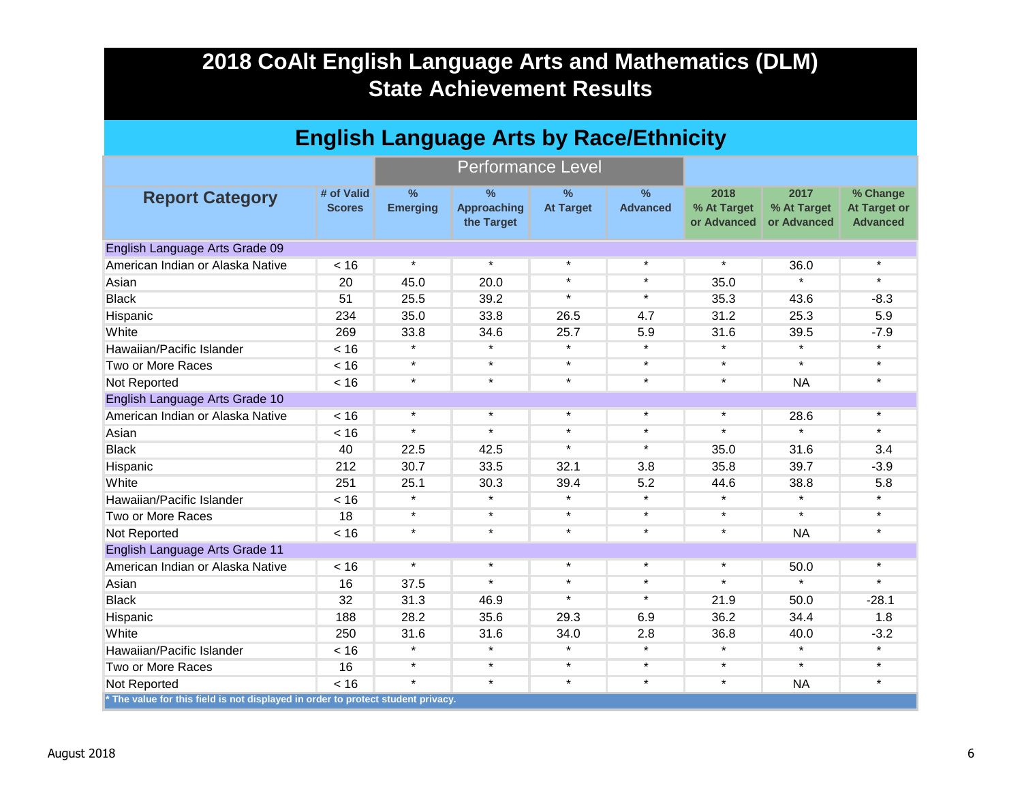| <b>English Language Arts by Race/Ethnicity</b>                                   |                             |                         |                                          |                          |                         |                                    |                                    |                                                    |  |  |
|----------------------------------------------------------------------------------|-----------------------------|-------------------------|------------------------------------------|--------------------------|-------------------------|------------------------------------|------------------------------------|----------------------------------------------------|--|--|
|                                                                                  |                             |                         | <b>Performance Level</b>                 |                          |                         |                                    |                                    |                                                    |  |  |
| <b>Report Category</b>                                                           | # of Valid<br><b>Scores</b> | $\%$<br><b>Emerging</b> | $\%$<br><b>Approaching</b><br>the Target | $\%$<br><b>At Target</b> | $\%$<br><b>Advanced</b> | 2018<br>% At Target<br>or Advanced | 2017<br>% At Target<br>or Advanced | % Change<br><b>At Target or</b><br><b>Advanced</b> |  |  |
| English Language Arts Grade 09                                                   |                             |                         |                                          |                          |                         |                                    |                                    |                                                    |  |  |
| American Indian or Alaska Native                                                 | < 16                        | $\star$                 | $\star$                                  | $\star$                  | $\star$                 | $\star$                            | 36.0                               | $\star$                                            |  |  |
| Asian                                                                            | 20                          | 45.0                    | 20.0                                     | $\star$                  | $\star$                 | 35.0                               | ÷                                  | $\star$                                            |  |  |
| <b>Black</b>                                                                     | 51                          | 25.5                    | 39.2                                     | $\star$                  | $\star$                 | 35.3                               | 43.6                               | $-8.3$                                             |  |  |
| Hispanic                                                                         | 234                         | 35.0                    | 33.8                                     | 26.5                     | 4.7                     | 31.2                               | 25.3                               | 5.9                                                |  |  |
| White                                                                            | 269                         | 33.8                    | 34.6                                     | 25.7                     | 5.9                     | 31.6                               | 39.5                               | $-7.9$                                             |  |  |
| Hawaiian/Pacific Islander                                                        | < 16                        | $\star$                 | $\star$                                  | $\star$                  | $\star$                 | $\star$                            | $\star$                            | $\star$                                            |  |  |
| Two or More Races                                                                | < 16                        | $\star$                 | $\star$                                  | $\star$                  | $\star$                 | $\star$                            | $\star$                            | $\star$                                            |  |  |
| Not Reported                                                                     | < 16                        | $\star$                 | $\star$                                  | $\star$                  | $\star$                 | $\star$                            | <b>NA</b>                          | $\star$                                            |  |  |
| English Language Arts Grade 10                                                   |                             |                         |                                          |                          |                         |                                    |                                    |                                                    |  |  |
| American Indian or Alaska Native                                                 | < 16                        | $\star$                 | $\star$                                  | $\star$                  | $\star$                 | $\star$                            | 28.6                               | $\star$                                            |  |  |
| Asian                                                                            | < 16                        | $\star$                 | $\star$                                  | $\star$                  | $\star$                 | $\star$                            | $\star$                            | $\star$                                            |  |  |
| <b>Black</b>                                                                     | 40                          | 22.5                    | 42.5                                     | $\star$                  | $\star$                 | 35.0                               | 31.6                               | 3.4                                                |  |  |
| Hispanic                                                                         | 212                         | 30.7                    | 33.5                                     | 32.1                     | 3.8                     | 35.8                               | 39.7                               | $-3.9$                                             |  |  |
| White                                                                            | 251                         | 25.1                    | 30.3                                     | 39.4                     | 5.2                     | 44.6                               | 38.8                               | 5.8                                                |  |  |
| Hawaiian/Pacific Islander                                                        | < 16                        | $\star$                 | $\star$                                  | $\star$                  | $\star$                 | $\star$                            | $\star$                            | $\star$                                            |  |  |
| Two or More Races                                                                | 18                          | $\star$                 | $\star$                                  | $\star$                  | $\star$                 | $\star$                            | $\star$                            | $\star$                                            |  |  |
| Not Reported                                                                     | < 16                        | $\star$                 | $\star$                                  | $\star$                  | $\star$                 | $\star$                            | <b>NA</b>                          | $\star$                                            |  |  |
| English Language Arts Grade 11                                                   |                             |                         |                                          |                          |                         |                                    |                                    |                                                    |  |  |
| American Indian or Alaska Native                                                 | < 16                        | $\star$                 | $\star$                                  | $\star$                  | $\star$                 | $\star$                            | 50.0                               | $\star$                                            |  |  |
| Asian                                                                            | 16                          | 37.5                    | $\star$                                  | $\star$                  | $\star$                 | $\star$                            | $\star$                            | $\star$                                            |  |  |
| <b>Black</b>                                                                     | 32                          | 31.3                    | 46.9                                     | $\star$                  | $\star$                 | 21.9                               | 50.0                               | $-28.1$                                            |  |  |
| Hispanic                                                                         | 188                         | 28.2                    | 35.6                                     | 29.3                     | 6.9                     | 36.2                               | 34.4                               | 1.8                                                |  |  |
| White                                                                            | 250                         | 31.6                    | 31.6                                     | 34.0                     | 2.8                     | 36.8                               | 40.0                               | $-3.2$                                             |  |  |
| Hawaiian/Pacific Islander                                                        | < 16                        | $\star$                 | $\star$                                  | $\star$                  | $\star$                 | $\star$                            | $\star$                            | $\star$                                            |  |  |
| Two or More Races                                                                | 16                          | $\star$                 | $\star$                                  | $\star$                  | $\star$                 | $\star$                            | $\star$                            | $\star$                                            |  |  |
| Not Reported                                                                     | < 16                        | $\star$                 | $\star$                                  | $\star$                  | $\star$                 | $\star$                            | <b>NA</b>                          | $\star$                                            |  |  |
| * The value for this field is not displayed in order to protect student privacy. |                             |                         |                                          |                          |                         |                                    |                                    |                                                    |  |  |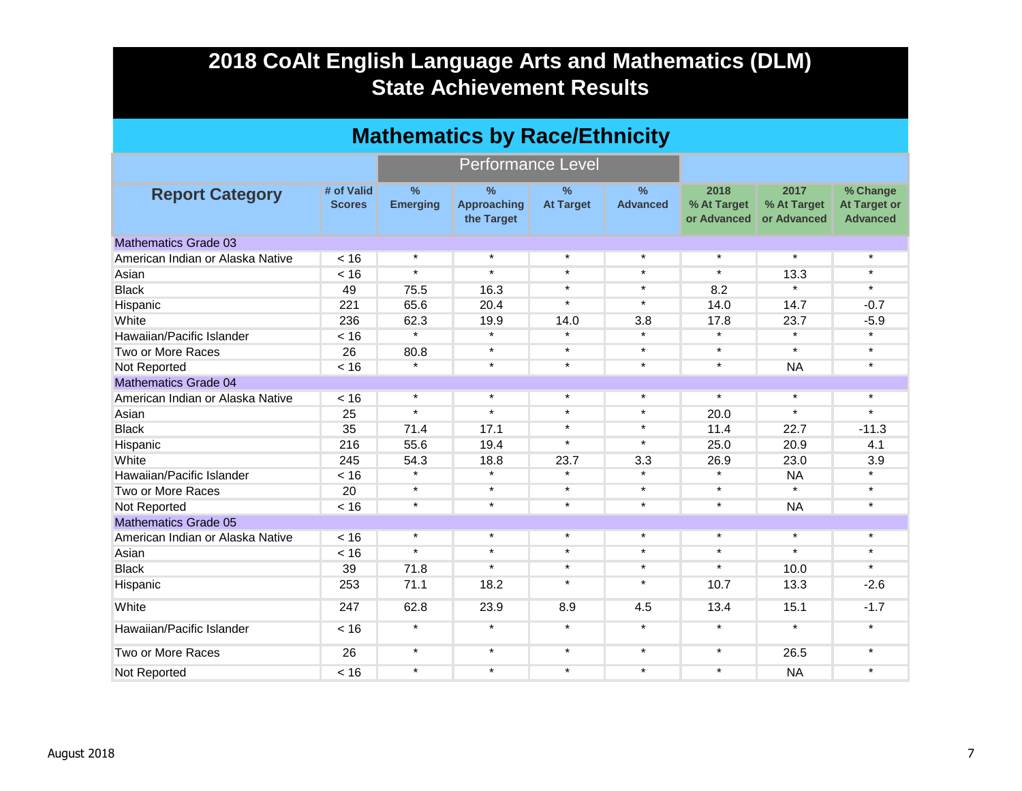| <b>Mathematics by Race/Ethnicity</b> |                             |                                  |                                                   |                                   |                                  |                                    |                                    |                                                    |  |  |
|--------------------------------------|-----------------------------|----------------------------------|---------------------------------------------------|-----------------------------------|----------------------------------|------------------------------------|------------------------------------|----------------------------------------------------|--|--|
|                                      |                             |                                  | <b>Performance Level</b>                          |                                   |                                  |                                    |                                    |                                                    |  |  |
| <b>Report Category</b>               | # of Valid<br><b>Scores</b> | $\frac{0}{0}$<br><b>Emerging</b> | $\frac{0}{0}$<br><b>Approaching</b><br>the Target | $\frac{9}{6}$<br><b>At Target</b> | $\frac{9}{6}$<br><b>Advanced</b> | 2018<br>% At Target<br>or Advanced | 2017<br>% At Target<br>or Advanced | % Change<br><b>At Target or</b><br><b>Advanced</b> |  |  |
| <b>Mathematics Grade 03</b>          |                             |                                  |                                                   |                                   |                                  |                                    |                                    |                                                    |  |  |
| American Indian or Alaska Native     | < 16                        | $\star$                          | $\star$                                           | $\star$                           | $\star$                          | $\star$                            | $\star$                            | $\star$                                            |  |  |
| Asian                                | < 16                        | $\star$                          | $\star$                                           | $\star$                           | $\star$                          | $\star$                            | 13.3                               | $\star$                                            |  |  |
| <b>Black</b>                         | 49                          | 75.5                             | 16.3                                              | $\star$                           | $\star$                          | 8.2                                | $\star$                            | $\star$                                            |  |  |
| Hispanic                             | 221                         | 65.6                             | 20.4                                              | $\star$                           | $\star$                          | 14.0                               | 14.7                               | $-0.7$                                             |  |  |
| White                                | 236                         | 62.3                             | 19.9                                              | 14.0                              | 3.8                              | 17.8                               | 23.7                               | $-5.9$                                             |  |  |
| Hawaiian/Pacific Islander            | < 16                        | $\star$                          | $\star$                                           | $\star$                           | $\star$                          | $\star$                            | $\star$                            | $\star$                                            |  |  |
| Two or More Races                    | 26                          | 80.8                             | $\star$                                           | $\star$                           | $\star$                          | $\star$                            | $\star$                            | $\star$                                            |  |  |
| Not Reported                         | < 16                        | $\star$                          | $\star$                                           | $\star$                           | $\star$                          | $\star$                            | <b>NA</b>                          | $\star$                                            |  |  |
| <b>Mathematics Grade 04</b>          |                             |                                  |                                                   |                                   |                                  |                                    |                                    |                                                    |  |  |
| American Indian or Alaska Native     | < 16                        | $\star$                          | $\star$                                           | $\star$                           | $\star$                          | $\star$                            | $\star$                            | $\star$                                            |  |  |
| Asian                                | 25                          | $\star$                          | $\star$                                           | $\star$                           | $\star$                          | 20.0                               | $\star$                            | $\star$                                            |  |  |
| <b>Black</b>                         | 35                          | 71.4                             | 17.1                                              | $\star$                           | $\star$                          | 11.4                               | 22.7                               | $-11.3$                                            |  |  |
| Hispanic                             | 216                         | 55.6                             | 19.4                                              | $\star$                           | $\star$                          | 25.0                               | 20.9                               | 4.1                                                |  |  |
| White                                | 245                         | 54.3                             | 18.8                                              | 23.7                              | 3.3                              | 26.9                               | 23.0                               | 3.9                                                |  |  |
| Hawaiian/Pacific Islander            | < 16                        | $\star$                          | $\star$                                           | $\star$                           |                                  | $\star$                            | <b>NA</b>                          | $\star$                                            |  |  |
| Two or More Races                    | 20                          | $\star$                          | $\star$                                           | $\star$                           | $\star$                          | $\star$                            | $\star$                            | $\star$                                            |  |  |
| Not Reported                         | < 16                        | $\star$                          | $\star$                                           | $\star$                           | $\star$                          | $\star$                            | <b>NA</b>                          | $\star$                                            |  |  |
| <b>Mathematics Grade 05</b>          |                             |                                  |                                                   |                                   |                                  |                                    |                                    |                                                    |  |  |
| American Indian or Alaska Native     | < 16                        | $\star$                          | $\star$                                           | $\star$                           | $\star$                          | $\star$                            | $\star$                            | $\star$                                            |  |  |
| Asian                                | < 16                        | $\star$                          | $\star$                                           | $\star$                           | $\star$                          | $\star$                            | $\star$                            | $\star$                                            |  |  |
| <b>Black</b>                         | 39                          | 71.8                             | $\star$                                           | $\star$                           | $\star$                          | $\star$                            | 10.0                               | $\star$                                            |  |  |
| Hispanic                             | 253                         | 71.1                             | 18.2                                              | $\star$                           | $\star$                          | 10.7                               | 13.3                               | $-2.6$                                             |  |  |
| White                                | 247                         | 62.8                             | 23.9                                              | 8.9                               | 4.5                              | 13.4                               | 15.1                               | $-1.7$                                             |  |  |
| Hawaiian/Pacific Islander            | < 16                        | $\star$                          | $\star$                                           | $\star$                           | $\star$                          | $\star$                            | $\star$                            | $\star$                                            |  |  |
| Two or More Races                    | 26                          | $\star$                          | $\star$                                           | $\star$                           | $\star$                          | $\star$                            | 26.5                               | $\star$                                            |  |  |
| Not Reported                         | < 16                        | $\star$                          | $\star$                                           | $\star$                           | $\star$                          | $\star$                            | <b>NA</b>                          | $\star$                                            |  |  |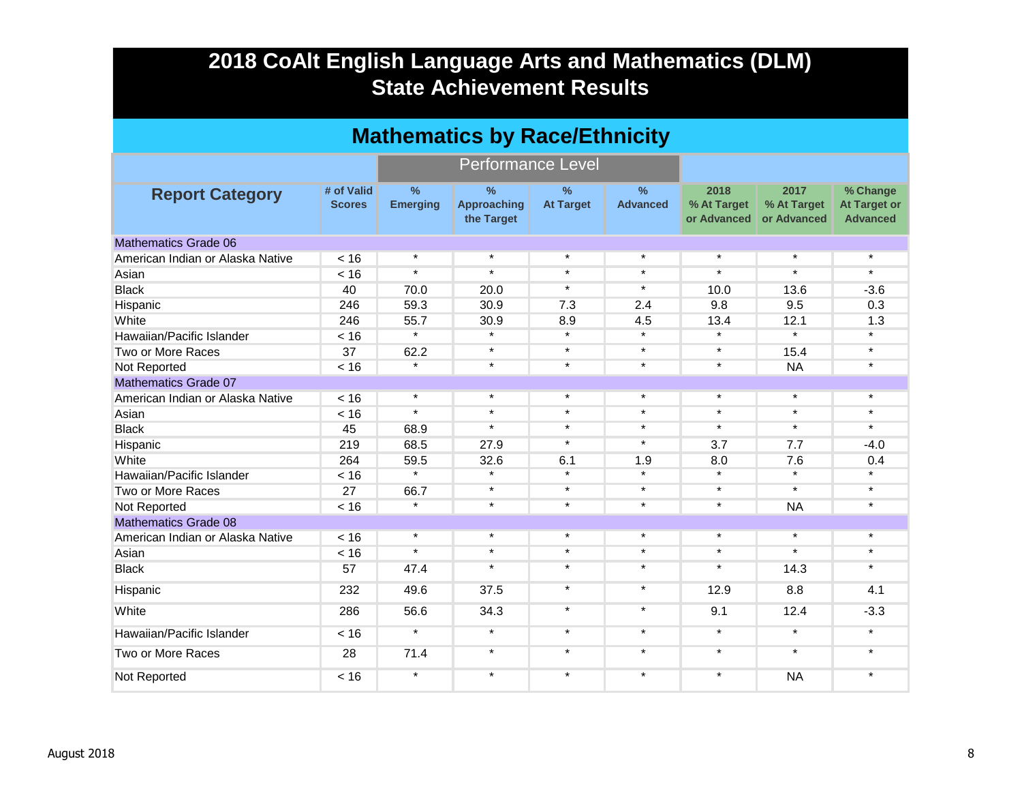| <b>Mathematics by Race/Ethnicity</b> |                             |                                  |                                                   |                                   |                                  |                                    |                                    |                                                    |  |  |  |
|--------------------------------------|-----------------------------|----------------------------------|---------------------------------------------------|-----------------------------------|----------------------------------|------------------------------------|------------------------------------|----------------------------------------------------|--|--|--|
|                                      |                             |                                  | <b>Performance Level</b>                          |                                   |                                  |                                    |                                    |                                                    |  |  |  |
| <b>Report Category</b>               | # of Valid<br><b>Scores</b> | $\frac{9}{6}$<br><b>Emerging</b> | $\frac{9}{6}$<br><b>Approaching</b><br>the Target | $\frac{9}{6}$<br><b>At Target</b> | $\frac{9}{6}$<br><b>Advanced</b> | 2018<br>% At Target<br>or Advanced | 2017<br>% At Target<br>or Advanced | % Change<br><b>At Target or</b><br><b>Advanced</b> |  |  |  |
| Mathematics Grade 06                 |                             |                                  |                                                   |                                   |                                  |                                    |                                    |                                                    |  |  |  |
| American Indian or Alaska Native     | < 16                        | $\star$                          | $\star$                                           | $\star$                           | $\star$                          | $\star$                            | $\star$                            | $\star$                                            |  |  |  |
| Asian                                | < 16                        | $\star$                          | $\star$                                           | $\star$                           | $\star$                          | $\star$                            | $\star$                            | $\star$                                            |  |  |  |
| <b>Black</b>                         | 40                          | 70.0                             | 20.0                                              | $\star$                           | $\star$                          | 10.0                               | 13.6                               | $-3.6$                                             |  |  |  |
| Hispanic                             | 246                         | 59.3                             | 30.9                                              | 7.3                               | 2.4                              | 9.8                                | 9.5                                | 0.3                                                |  |  |  |
| White                                | 246                         | 55.7                             | 30.9                                              | 8.9                               | 4.5                              | 13.4                               | 12.1                               | 1.3                                                |  |  |  |
| Hawaiian/Pacific Islander            | < 16                        | $\star$                          | $\star$                                           | $\star$                           | $\star$                          | $\star$                            | $\star$                            | $\star$                                            |  |  |  |
| Two or More Races                    | 37                          | 62.2                             | $\star$                                           | $\star$                           | $\star$                          | $\star$                            | 15.4                               | $\star$                                            |  |  |  |
| Not Reported                         | < 16                        | $\star$                          | $\star$                                           | $\star$                           | $\star$                          | $\star$                            | <b>NA</b>                          | $\star$                                            |  |  |  |
| <b>Mathematics Grade 07</b>          |                             |                                  |                                                   |                                   |                                  |                                    |                                    |                                                    |  |  |  |
| American Indian or Alaska Native     | < 16                        | $\star$                          | $\star$                                           | $\star$                           | $\star$                          | $\star$                            | $\star$                            | $\star$                                            |  |  |  |
| Asian                                | < 16                        | $\star$                          | $\star$                                           | $\star$                           | $\star$                          | $\star$                            | $\star$                            | $\star$                                            |  |  |  |
| <b>Black</b>                         | 45                          | 68.9                             | $\star$                                           | $\star$                           | $\star$                          | $\star$                            | $\star$                            | $\star$                                            |  |  |  |
| Hispanic                             | 219                         | 68.5                             | 27.9                                              | $\star$                           | $\star$                          | 3.7                                | 7.7                                | $-4.0$                                             |  |  |  |
| White                                | 264                         | 59.5                             | 32.6                                              | 6.1                               | 1.9                              | 8.0                                | 7.6                                | 0.4                                                |  |  |  |
| Hawaiian/Pacific Islander            | < 16                        | $\star$                          | $\star$                                           | $\star$                           | $\star$                          | $\star$                            | $\star$                            | $\star$                                            |  |  |  |
| Two or More Races                    | 27                          | 66.7                             | $\star$                                           | $\star$                           | $\star$                          | $\star$                            | $\star$                            | $\star$                                            |  |  |  |
| Not Reported                         | < 16                        | $\star$                          | $\star$                                           | $\star$                           | $\star$                          | $\star$                            | <b>NA</b>                          | $\star$                                            |  |  |  |
| <b>Mathematics Grade 08</b>          |                             |                                  |                                                   |                                   |                                  |                                    |                                    |                                                    |  |  |  |
| American Indian or Alaska Native     | < 16                        | $\star$                          | $\star$                                           | $\star$                           | $\star$                          | $\star$                            | $\star$                            | $\star$                                            |  |  |  |
| Asian                                | < 16                        | $\star$                          | $\star$                                           | $\star$                           | $\star$                          | $\star$                            | $\star$                            | $\star$                                            |  |  |  |
| <b>Black</b>                         | 57                          | 47.4                             | $\star$                                           | $\star$                           | $\star$                          | $\star$                            | 14.3                               | $\star$                                            |  |  |  |
| Hispanic                             | 232                         | 49.6                             | 37.5                                              | $\star$                           | $\star$                          | 12.9                               | 8.8                                | 4.1                                                |  |  |  |
| White                                | 286                         | 56.6                             | 34.3                                              | $\star$                           | $\star$                          | 9.1                                | 12.4                               | $-3.3$                                             |  |  |  |
| Hawaiian/Pacific Islander            | < 16                        | $\star$                          | $\star$                                           | $\star$                           | $\star$                          | $\star$                            | $\star$                            | $\star$                                            |  |  |  |
| Two or More Races                    | 28                          | 71.4                             | $\star$                                           | $\star$                           | $\star$                          | $\star$                            | $\star$                            | $\star$                                            |  |  |  |
| Not Reported                         | < 16                        | $\star$                          | $\star$                                           | $\star$                           | $\star$                          | $\star$                            | <b>NA</b>                          | $\star$                                            |  |  |  |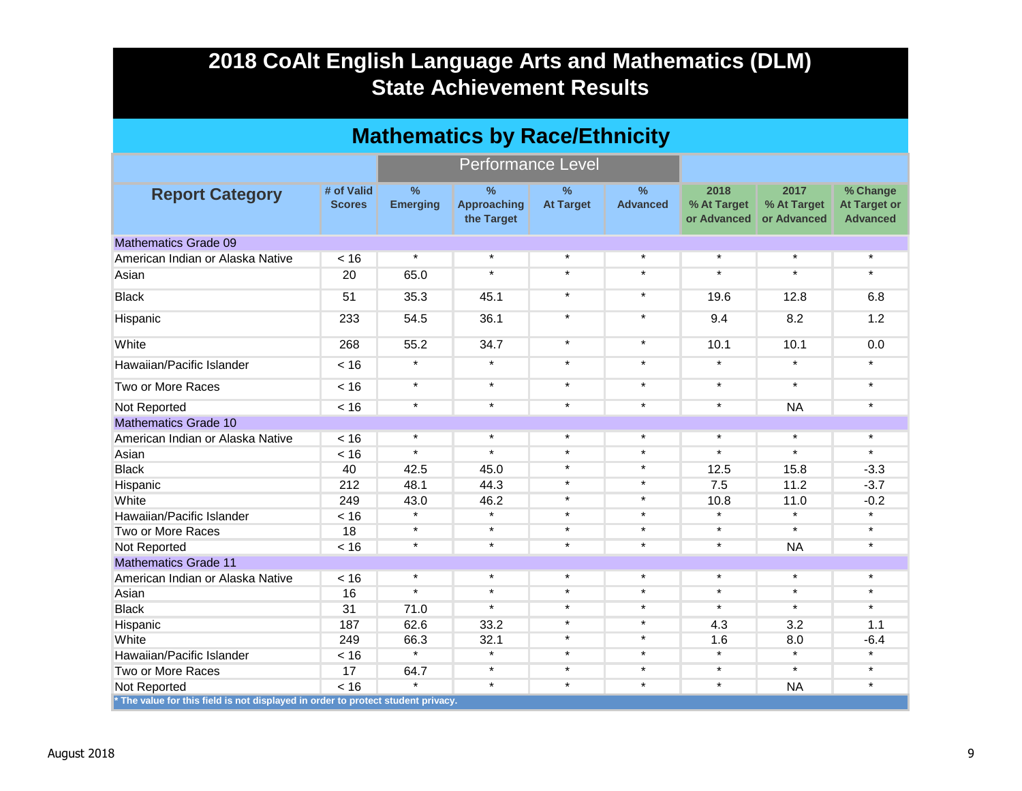| <b>Mathematics by Race/Ethnicity</b>                                             |                             |                                  |                                                   |                                   |                                  |                                    |                                    |                                                    |  |  |
|----------------------------------------------------------------------------------|-----------------------------|----------------------------------|---------------------------------------------------|-----------------------------------|----------------------------------|------------------------------------|------------------------------------|----------------------------------------------------|--|--|
|                                                                                  |                             |                                  | <b>Performance Level</b>                          |                                   |                                  |                                    |                                    |                                                    |  |  |
| <b>Report Category</b>                                                           | # of Valid<br><b>Scores</b> | $\frac{0}{0}$<br><b>Emerging</b> | $\frac{9}{6}$<br><b>Approaching</b><br>the Target | $\frac{0}{0}$<br><b>At Target</b> | $\frac{9}{6}$<br><b>Advanced</b> | 2018<br>% At Target<br>or Advanced | 2017<br>% At Target<br>or Advanced | % Change<br><b>At Target or</b><br><b>Advanced</b> |  |  |
| <b>Mathematics Grade 09</b>                                                      |                             |                                  |                                                   |                                   |                                  |                                    |                                    |                                                    |  |  |
| American Indian or Alaska Native                                                 | < 16                        | $\star$                          | $\star$                                           | $\star$                           | $\star$                          | $\star$                            | $\star$                            | $\star$                                            |  |  |
| Asian                                                                            | 20                          | 65.0                             | $\star$                                           | $\star$                           | $\star$                          | $\star$                            | $\star$                            | $\star$                                            |  |  |
| <b>Black</b>                                                                     | 51                          | 35.3                             | 45.1                                              | $\star$                           | $\star$                          | 19.6                               | 12.8                               | 6.8                                                |  |  |
| Hispanic                                                                         | 233                         | 54.5                             | 36.1                                              | $\star$                           | $\star$                          | 9.4                                | 8.2                                | 1.2                                                |  |  |
| White                                                                            | 268                         | 55.2                             | 34.7                                              | $\star$                           | $\star$                          | 10.1                               | 10.1                               | 0.0                                                |  |  |
| Hawaiian/Pacific Islander                                                        | < 16                        | $\star$                          | $\star$                                           | $\star$                           | $\star$                          | $\star$                            | $\star$                            | $\star$                                            |  |  |
| Two or More Races                                                                | < 16                        | $\star$                          | $\star$                                           | $\star$                           | $\star$                          | $\star$                            | $\star$                            | $\star$                                            |  |  |
| Not Reported                                                                     | < 16                        | $\star$                          | $\star$                                           | $\star$                           | $\star$                          | $\star$                            | <b>NA</b>                          | $\star$                                            |  |  |
| <b>Mathematics Grade 10</b>                                                      |                             |                                  |                                                   |                                   |                                  |                                    |                                    |                                                    |  |  |
| American Indian or Alaska Native                                                 | < 16                        | $\star$                          | $\star$                                           | $\star$                           | $\star$                          | $\star$                            | $\star$                            | $\star$                                            |  |  |
| Asian                                                                            | < 16                        | $\star$                          | $\star$                                           | $\star$                           | $\star$                          | $\star$                            | $\star$                            | $\star$                                            |  |  |
| <b>Black</b>                                                                     | 40                          | 42.5                             | 45.0                                              | $\star$                           | $\star$                          | 12.5                               | 15.8                               | $-3.3$                                             |  |  |
| Hispanic                                                                         | 212                         | 48.1                             | 44.3                                              | $\star$                           | $\star$                          | 7.5                                | 11.2                               | $-3.7$                                             |  |  |
| White                                                                            | 249                         | 43.0                             | 46.2                                              | $\star$                           | $\star$                          | 10.8                               | 11.0                               | $-0.2$                                             |  |  |
| Hawaiian/Pacific Islander                                                        | < 16                        | $\star$                          | $\star$                                           | $\star$                           | $\star$                          | $\star$                            | $\star$                            | $\star$                                            |  |  |
| Two or More Races                                                                | 18                          | $\star$                          | $\star$                                           | $\star$                           | $\star$                          | $\star$                            | $\star$                            | $\star$                                            |  |  |
| Not Reported                                                                     | < 16                        | $\star$                          | $\star$                                           | $\star$                           | $\star$                          | $\star$                            | <b>NA</b>                          | $\star$                                            |  |  |
| <b>Mathematics Grade 11</b>                                                      |                             |                                  |                                                   |                                   |                                  |                                    |                                    |                                                    |  |  |
| American Indian or Alaska Native                                                 | < 16                        | $\star$                          | $\star$                                           | $\star$                           | $\star$                          | $\star$                            | $\star$                            | $^{\star}$                                         |  |  |
| Asian                                                                            | 16                          | $\star$                          | $\star$                                           | $\star$                           | $\star$                          | $\star$                            | $\star$                            | $\star$                                            |  |  |
| <b>Black</b>                                                                     | 31                          | 71.0                             | $\star$                                           | $\star$                           | $\star$                          | $\star$                            | $\star$                            | $\star$                                            |  |  |
| Hispanic                                                                         | 187                         | 62.6                             | 33.2                                              | $\star$                           | $\star$                          | 4.3                                | 3.2                                | 1.1                                                |  |  |
| White                                                                            | 249                         | 66.3                             | 32.1                                              | $^\star$                          | $\star$                          | 1.6                                | 8.0                                | $-6.4$                                             |  |  |
| Hawaiian/Pacific Islander                                                        | < 16                        | $\star$                          | $\star$                                           | $^\star$                          | $\star$                          | $\star$                            | $\star$                            | $\star$                                            |  |  |
| Two or More Races                                                                | 17                          | 64.7                             | $\star$                                           | $\star$                           | $\star$                          | $\star$                            | $\star$                            | $\star$                                            |  |  |
| Not Reported                                                                     | < 16                        | $\star$                          | $\star$                                           | $\star$                           | $\star$                          | $\star$                            | <b>NA</b>                          | $\star$                                            |  |  |
| * The value for this field is not displayed in order to protect student privacy. |                             |                                  |                                                   |                                   |                                  |                                    |                                    |                                                    |  |  |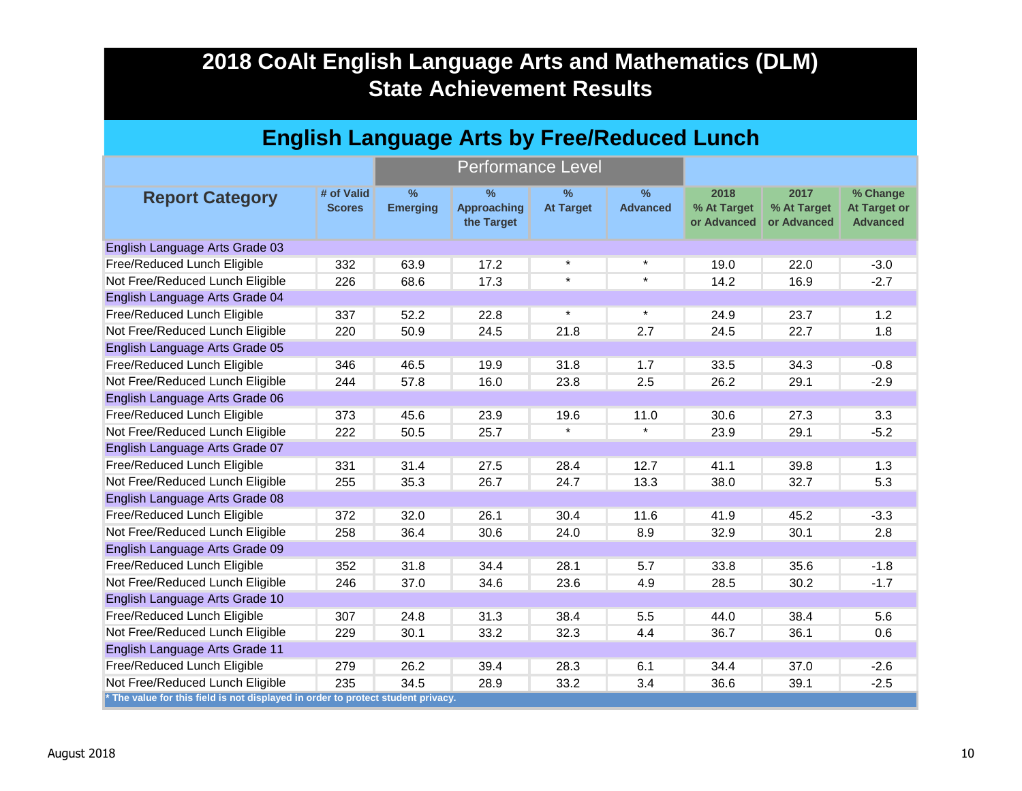| <b>English Language Arts by Free/Reduced Lunch</b>                               |                             |                                  |                                          |                                   |                         |                                    |                                    |                                                    |  |  |
|----------------------------------------------------------------------------------|-----------------------------|----------------------------------|------------------------------------------|-----------------------------------|-------------------------|------------------------------------|------------------------------------|----------------------------------------------------|--|--|
|                                                                                  |                             |                                  | <b>Performance Level</b>                 |                                   |                         |                                    |                                    |                                                    |  |  |
| <b>Report Category</b>                                                           | # of Valid<br><b>Scores</b> | $\frac{9}{6}$<br><b>Emerging</b> | $\%$<br><b>Approaching</b><br>the Target | $\frac{9}{6}$<br><b>At Target</b> | $\%$<br><b>Advanced</b> | 2018<br>% At Target<br>or Advanced | 2017<br>% At Target<br>or Advanced | % Change<br><b>At Target or</b><br><b>Advanced</b> |  |  |
| English Language Arts Grade 03                                                   |                             |                                  |                                          |                                   |                         |                                    |                                    |                                                    |  |  |
| Free/Reduced Lunch Eligible                                                      | 332                         | 63.9                             | 17.2                                     | $\star$                           | $\star$                 | 19.0                               | 22.0                               | $-3.0$                                             |  |  |
| Not Free/Reduced Lunch Eligible                                                  | 226                         | 68.6                             | 17.3                                     | $\star$                           | $\star$                 | 14.2                               | 16.9                               | $-2.7$                                             |  |  |
| English Language Arts Grade 04                                                   |                             |                                  |                                          |                                   |                         |                                    |                                    |                                                    |  |  |
| Free/Reduced Lunch Eligible                                                      | 337                         | 52.2                             | 22.8                                     | $\star$                           | $\star$                 | 24.9                               | 23.7                               | 1.2                                                |  |  |
| Not Free/Reduced Lunch Eligible                                                  | 220                         | 50.9                             | 24.5                                     | 21.8                              | 2.7                     | 24.5                               | 22.7                               | 1.8                                                |  |  |
| English Language Arts Grade 05                                                   |                             |                                  |                                          |                                   |                         |                                    |                                    |                                                    |  |  |
| Free/Reduced Lunch Eligible                                                      | 346                         | 46.5                             | 19.9                                     | 31.8                              | 1.7                     | 33.5                               | 34.3                               | $-0.8$                                             |  |  |
| Not Free/Reduced Lunch Eligible                                                  | 244                         | 57.8                             | 16.0                                     | 23.8                              | 2.5                     | 26.2                               | 29.1                               | $-2.9$                                             |  |  |
| English Language Arts Grade 06                                                   |                             |                                  |                                          |                                   |                         |                                    |                                    |                                                    |  |  |
| Free/Reduced Lunch Eligible                                                      | 373                         | 45.6                             | 23.9                                     | 19.6                              | 11.0                    | 30.6                               | 27.3                               | 3.3                                                |  |  |
| Not Free/Reduced Lunch Eligible                                                  | 222                         | 50.5                             | 25.7                                     | $\star$                           | $\star$                 | 23.9                               | 29.1                               | $-5.2$                                             |  |  |
| English Language Arts Grade 07                                                   |                             |                                  |                                          |                                   |                         |                                    |                                    |                                                    |  |  |
| Free/Reduced Lunch Eligible                                                      | 331                         | 31.4                             | 27.5                                     | 28.4                              | 12.7                    | 41.1                               | 39.8                               | 1.3                                                |  |  |
| Not Free/Reduced Lunch Eligible                                                  | 255                         | 35.3                             | 26.7                                     | 24.7                              | 13.3                    | 38.0                               | 32.7                               | 5.3                                                |  |  |
| English Language Arts Grade 08                                                   |                             |                                  |                                          |                                   |                         |                                    |                                    |                                                    |  |  |
| Free/Reduced Lunch Eligible                                                      | 372                         | 32.0                             | 26.1                                     | 30.4                              | 11.6                    | 41.9                               | 45.2                               | $-3.3$                                             |  |  |
| Not Free/Reduced Lunch Eligible                                                  | 258                         | 36.4                             | 30.6                                     | 24.0                              | 8.9                     | 32.9                               | 30.1                               | 2.8                                                |  |  |
| English Language Arts Grade 09                                                   |                             |                                  |                                          |                                   |                         |                                    |                                    |                                                    |  |  |
| Free/Reduced Lunch Eligible                                                      | 352                         | 31.8                             | 34.4                                     | 28.1                              | 5.7                     | 33.8                               | 35.6                               | $-1.8$                                             |  |  |
| Not Free/Reduced Lunch Eligible                                                  | 246                         | 37.0                             | 34.6                                     | 23.6                              | 4.9                     | 28.5                               | 30.2                               | $-1.7$                                             |  |  |
| English Language Arts Grade 10                                                   |                             |                                  |                                          |                                   |                         |                                    |                                    |                                                    |  |  |
| Free/Reduced Lunch Eligible                                                      | 307                         | 24.8                             | 31.3                                     | 38.4                              | 5.5                     | 44.0                               | 38.4                               | 5.6                                                |  |  |
| Not Free/Reduced Lunch Eligible                                                  | 229                         | 30.1                             | 33.2                                     | 32.3                              | 4.4                     | 36.7                               | 36.1                               | 0.6                                                |  |  |
| English Language Arts Grade 11                                                   |                             |                                  |                                          |                                   |                         |                                    |                                    |                                                    |  |  |
| Free/Reduced Lunch Eligible                                                      | 279                         | 26.2                             | 39.4                                     | 28.3                              | 6.1                     | 34.4                               | 37.0                               | $-2.6$                                             |  |  |
| Not Free/Reduced Lunch Eligible                                                  | 235                         | 34.5                             | 28.9                                     | 33.2                              | 3.4                     | 36.6                               | 39.1                               | $-2.5$                                             |  |  |
| * The value for this field is not displayed in order to protect student privacy. |                             |                                  |                                          |                                   |                         |                                    |                                    |                                                    |  |  |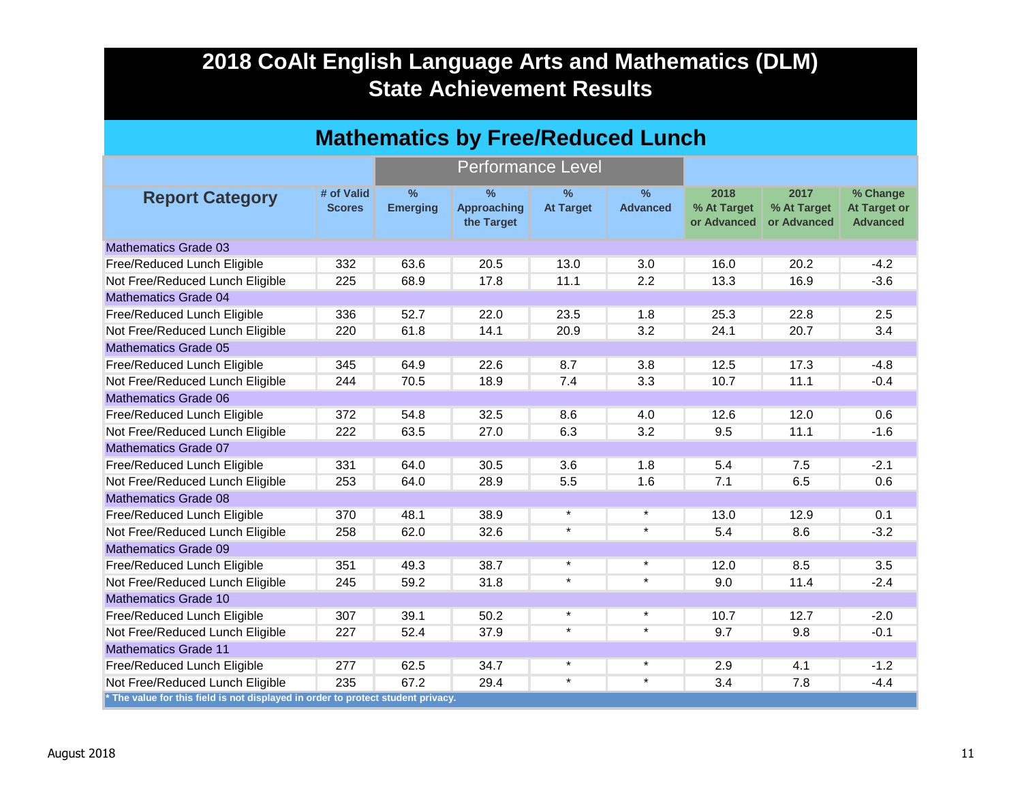| <b>Mathematics by Free/Reduced Lunch</b>                                         |                             |                         |                                                   |                          |                         |                                    |                                    |                                                    |  |  |
|----------------------------------------------------------------------------------|-----------------------------|-------------------------|---------------------------------------------------|--------------------------|-------------------------|------------------------------------|------------------------------------|----------------------------------------------------|--|--|
|                                                                                  |                             |                         | <b>Performance Level</b>                          |                          |                         |                                    |                                    |                                                    |  |  |
| <b>Report Category</b>                                                           | # of Valid<br><b>Scores</b> | $\%$<br><b>Emerging</b> | $\frac{9}{6}$<br><b>Approaching</b><br>the Target | $\%$<br><b>At Target</b> | $\%$<br><b>Advanced</b> | 2018<br>% At Target<br>or Advanced | 2017<br>% At Target<br>or Advanced | % Change<br><b>At Target or</b><br><b>Advanced</b> |  |  |
| Mathematics Grade 03                                                             |                             |                         |                                                   |                          |                         |                                    |                                    |                                                    |  |  |
| Free/Reduced Lunch Eligible                                                      | 332                         | 63.6                    | 20.5                                              | 13.0                     | 3.0                     | 16.0                               | 20.2                               | $-4.2$                                             |  |  |
| Not Free/Reduced Lunch Eligible                                                  | 225                         | 68.9                    | 17.8                                              | 11.1                     | 2.2                     | 13.3                               | 16.9                               | $-3.6$                                             |  |  |
| <b>Mathematics Grade 04</b>                                                      |                             |                         |                                                   |                          |                         |                                    |                                    |                                                    |  |  |
| Free/Reduced Lunch Eligible                                                      | 336                         | 52.7                    | 22.0                                              | 23.5                     | 1.8                     | 25.3                               | 22.8                               | 2.5                                                |  |  |
| Not Free/Reduced Lunch Eligible                                                  | 220                         | 61.8                    | 14.1                                              | 20.9                     | 3.2                     | 24.1                               | 20.7                               | 3.4                                                |  |  |
| <b>Mathematics Grade 05</b>                                                      |                             |                         |                                                   |                          |                         |                                    |                                    |                                                    |  |  |
| Free/Reduced Lunch Eligible                                                      | 345                         | 64.9                    | 22.6                                              | 8.7                      | 3.8                     | 12.5                               | 17.3                               | $-4.8$                                             |  |  |
| Not Free/Reduced Lunch Eligible                                                  | 244                         | 70.5                    | 18.9                                              | 7.4                      | 3.3                     | 10.7                               | 11.1                               | $-0.4$                                             |  |  |
| <b>Mathematics Grade 06</b>                                                      |                             |                         |                                                   |                          |                         |                                    |                                    |                                                    |  |  |
| Free/Reduced Lunch Eligible                                                      | 372                         | 54.8                    | 32.5                                              | 8.6                      | 4.0                     | 12.6                               | 12.0                               | 0.6                                                |  |  |
| Not Free/Reduced Lunch Eligible                                                  | 222                         | 63.5                    | 27.0                                              | 6.3                      | 3.2                     | 9.5                                | 11.1                               | $-1.6$                                             |  |  |
| <b>Mathematics Grade 07</b>                                                      |                             |                         |                                                   |                          |                         |                                    |                                    |                                                    |  |  |
| Free/Reduced Lunch Eligible                                                      | 331                         | 64.0                    | 30.5                                              | 3.6                      | 1.8                     | 5.4                                | 7.5                                | $-2.1$                                             |  |  |
| Not Free/Reduced Lunch Eligible                                                  | 253                         | 64.0                    | 28.9                                              | 5.5                      | 1.6                     | 7.1                                | 6.5                                | 0.6                                                |  |  |
| <b>Mathematics Grade 08</b>                                                      |                             |                         |                                                   |                          |                         |                                    |                                    |                                                    |  |  |
| Free/Reduced Lunch Eligible                                                      | 370                         | 48.1                    | 38.9                                              | $\star$                  | $\star$                 | 13.0                               | 12.9                               | 0.1                                                |  |  |
| Not Free/Reduced Lunch Eligible                                                  | 258                         | 62.0                    | 32.6                                              | $\star$                  | $\star$                 | 5.4                                | 8.6                                | $-3.2$                                             |  |  |
| <b>Mathematics Grade 09</b>                                                      |                             |                         |                                                   |                          |                         |                                    |                                    |                                                    |  |  |
| Free/Reduced Lunch Eligible                                                      | 351                         | 49.3                    | 38.7                                              | $\star$                  | $\star$                 | 12.0                               | 8.5                                | 3.5                                                |  |  |
| Not Free/Reduced Lunch Eligible                                                  | 245                         | 59.2                    | 31.8                                              | $\star$                  | $\star$                 | 9.0                                | 11.4                               | $-2.4$                                             |  |  |
| <b>Mathematics Grade 10</b>                                                      |                             |                         |                                                   |                          |                         |                                    |                                    |                                                    |  |  |
| Free/Reduced Lunch Eligible                                                      | 307                         | 39.1                    | 50.2                                              | $\star$                  | $\star$                 | 10.7                               | 12.7                               | $-2.0$                                             |  |  |
| Not Free/Reduced Lunch Eligible                                                  | 227                         | 52.4                    | 37.9                                              | $\star$                  | $\star$                 | 9.7                                | 9.8                                | $-0.1$                                             |  |  |
| <b>Mathematics Grade 11</b>                                                      |                             |                         |                                                   |                          |                         |                                    |                                    |                                                    |  |  |
| Free/Reduced Lunch Eligible                                                      | 277                         | 62.5                    | 34.7                                              | $\star$                  | $\star$                 | 2.9                                | 4.1                                | $-1.2$                                             |  |  |
| Not Free/Reduced Lunch Eligible                                                  | 235                         | 67.2                    | 29.4                                              | $\star$                  | $\star$                 | 3.4                                | 7.8                                | $-4.4$                                             |  |  |
| * The value for this field is not displayed in order to protect student privacy. |                             |                         |                                                   |                          |                         |                                    |                                    |                                                    |  |  |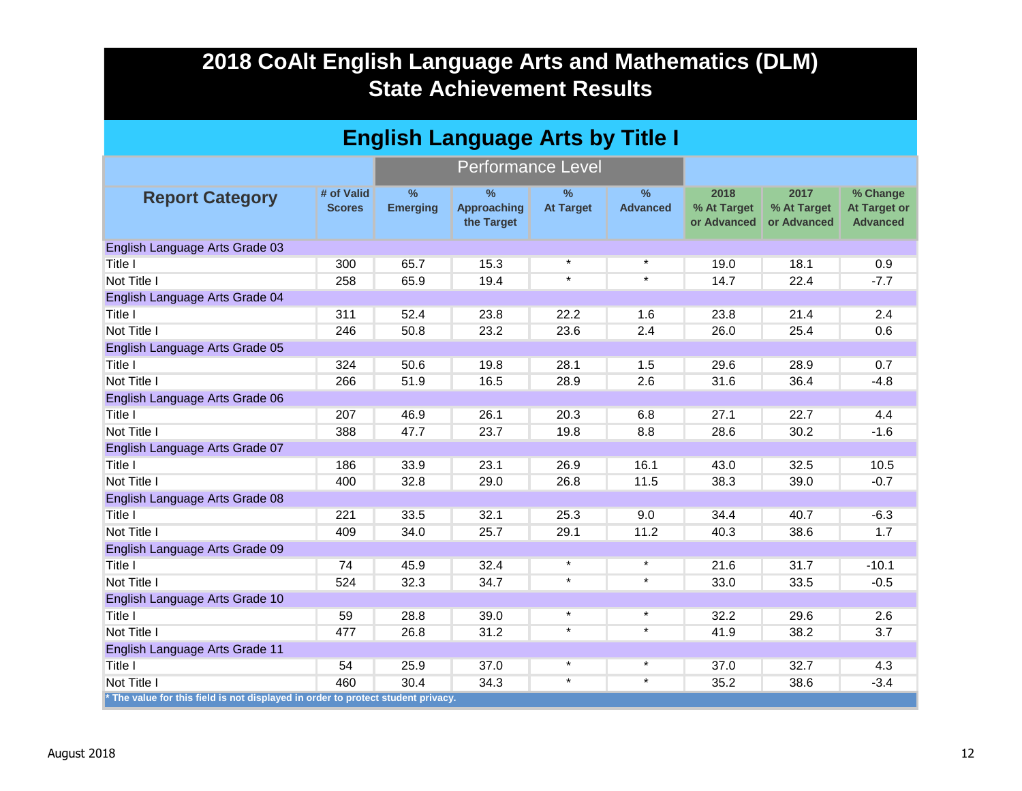| <b>English Language Arts by Title I</b> |                                                                                  |                                  |                                                   |                                   |                      |                                    |                                    |                                                    |  |
|-----------------------------------------|----------------------------------------------------------------------------------|----------------------------------|---------------------------------------------------|-----------------------------------|----------------------|------------------------------------|------------------------------------|----------------------------------------------------|--|
|                                         |                                                                                  |                                  | <b>Performance Level</b>                          |                                   |                      |                                    |                                    |                                                    |  |
| <b>Report Category</b>                  | # of Valid<br><b>Scores</b>                                                      | $\frac{9}{6}$<br><b>Emerging</b> | $\frac{9}{6}$<br><b>Approaching</b><br>the Target | $\frac{9}{6}$<br><b>At Target</b> | %<br><b>Advanced</b> | 2018<br>% At Target<br>or Advanced | 2017<br>% At Target<br>or Advanced | % Change<br><b>At Target or</b><br><b>Advanced</b> |  |
| English Language Arts Grade 03          |                                                                                  |                                  |                                                   |                                   |                      |                                    |                                    |                                                    |  |
| Title I                                 | 300                                                                              | 65.7                             | 15.3                                              | $\star$                           | $\star$              | 19.0                               | 18.1                               | 0.9                                                |  |
| Not Title I                             | 258                                                                              | 65.9                             | 19.4                                              | $\star$                           | $\star$              | 14.7                               | 22.4                               | $-7.7$                                             |  |
| English Language Arts Grade 04          |                                                                                  |                                  |                                                   |                                   |                      |                                    |                                    |                                                    |  |
| Title I                                 | 311                                                                              | 52.4                             | 23.8                                              | 22.2                              | 1.6                  | 23.8                               | 21.4                               | 2.4                                                |  |
| Not Title I                             | 246                                                                              | 50.8                             | 23.2                                              | 23.6                              | 2.4                  | 26.0                               | 25.4                               | 0.6                                                |  |
| English Language Arts Grade 05          |                                                                                  |                                  |                                                   |                                   |                      |                                    |                                    |                                                    |  |
| Title I                                 | 324                                                                              | 50.6                             | 19.8                                              | 28.1                              | 1.5                  | 29.6                               | 28.9                               | 0.7                                                |  |
| Not Title I                             | 266                                                                              | 51.9                             | 16.5                                              | 28.9                              | 2.6                  | 31.6                               | 36.4                               | $-4.8$                                             |  |
| English Language Arts Grade 06          |                                                                                  |                                  |                                                   |                                   |                      |                                    |                                    |                                                    |  |
| Title I                                 | 207                                                                              | 46.9                             | 26.1                                              | 20.3                              | 6.8                  | 27.1                               | 22.7                               | 4.4                                                |  |
| Not Title I                             | 388                                                                              | 47.7                             | 23.7                                              | 19.8                              | 8.8                  | 28.6                               | 30.2                               | $-1.6$                                             |  |
| English Language Arts Grade 07          |                                                                                  |                                  |                                                   |                                   |                      |                                    |                                    |                                                    |  |
| Title I                                 | 186                                                                              | 33.9                             | 23.1                                              | 26.9                              | 16.1                 | 43.0                               | 32.5                               | 10.5                                               |  |
| Not Title I                             | 400                                                                              | 32.8                             | 29.0                                              | 26.8                              | 11.5                 | 38.3                               | 39.0                               | $-0.7$                                             |  |
| English Language Arts Grade 08          |                                                                                  |                                  |                                                   |                                   |                      |                                    |                                    |                                                    |  |
| Title I                                 | 221                                                                              | 33.5                             | 32.1                                              | 25.3                              | 9.0                  | 34.4                               | 40.7                               | $-6.3$                                             |  |
| Not Title I                             | 409                                                                              | 34.0                             | 25.7                                              | 29.1                              | 11.2                 | 40.3                               | 38.6                               | 1.7                                                |  |
| English Language Arts Grade 09          |                                                                                  |                                  |                                                   |                                   |                      |                                    |                                    |                                                    |  |
| <b>Title I</b>                          | 74                                                                               | 45.9                             | 32.4                                              | $\star$                           | $\star$              | 21.6                               | 31.7                               | $-10.1$                                            |  |
| Not Title I                             | 524                                                                              | 32.3                             | 34.7                                              | $\star$                           | $\star$              | 33.0                               | 33.5                               | $-0.5$                                             |  |
| English Language Arts Grade 10          |                                                                                  |                                  |                                                   |                                   |                      |                                    |                                    |                                                    |  |
| Title I                                 | 59                                                                               | 28.8                             | 39.0                                              | $\star$                           | $\star$              | 32.2                               | 29.6                               | 2.6                                                |  |
| Not Title I                             | 477                                                                              | 26.8                             | 31.2                                              | $\star$                           | $\star$              | 41.9                               | 38.2                               | 3.7                                                |  |
| English Language Arts Grade 11          |                                                                                  |                                  |                                                   |                                   |                      |                                    |                                    |                                                    |  |
| Title I                                 | 54                                                                               | 25.9                             | 37.0                                              | $\star$                           | $\star$              | 37.0                               | 32.7                               | 4.3                                                |  |
| Not Title I                             | 460                                                                              | 30.4                             | 34.3                                              | $\star$                           | $\star$              | 35.2                               | 38.6                               | $-3.4$                                             |  |
|                                         | * The value for this field is not displayed in order to protect student privacy. |                                  |                                                   |                                   |                      |                                    |                                    |                                                    |  |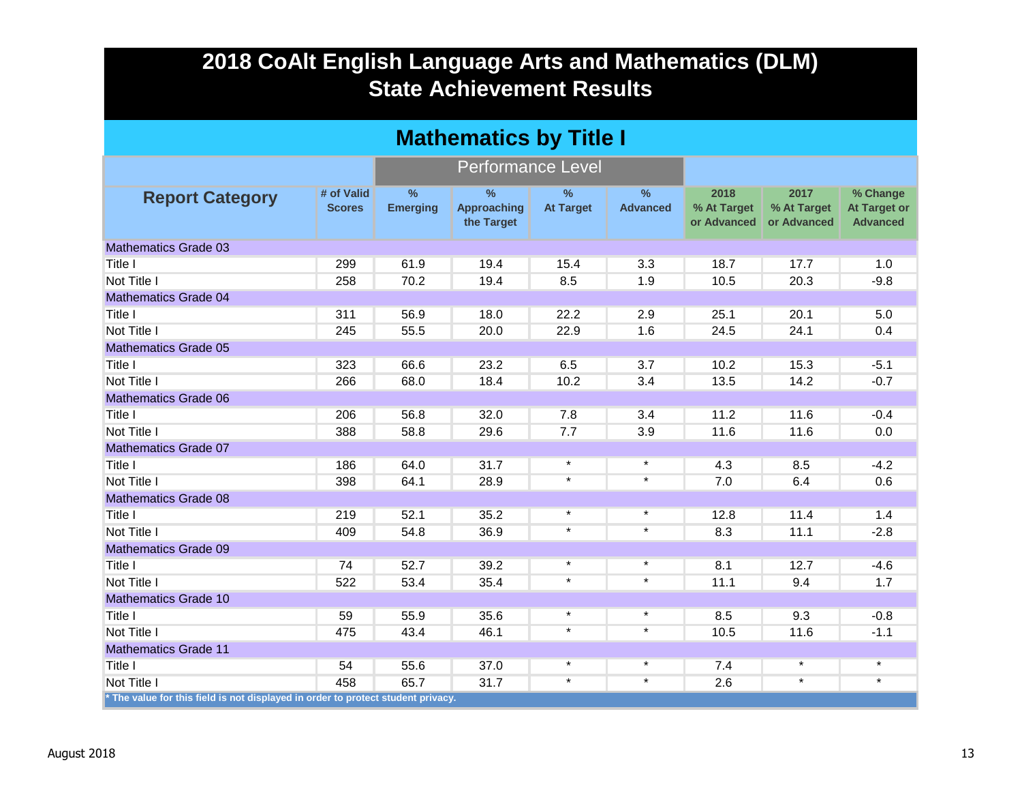| <b>Mathematics by Title I</b>                                                    |                             |                                  |                                                   |                                   |                                  |                                    |                                    |                                                    |  |
|----------------------------------------------------------------------------------|-----------------------------|----------------------------------|---------------------------------------------------|-----------------------------------|----------------------------------|------------------------------------|------------------------------------|----------------------------------------------------|--|
|                                                                                  |                             | <b>Performance Level</b>         |                                                   |                                   |                                  |                                    |                                    |                                                    |  |
| <b>Report Category</b>                                                           | # of Valid<br><b>Scores</b> | $\frac{9}{6}$<br><b>Emerging</b> | $\frac{9}{6}$<br><b>Approaching</b><br>the Target | $\frac{9}{6}$<br><b>At Target</b> | $\frac{9}{6}$<br><b>Advanced</b> | 2018<br>% At Target<br>or Advanced | 2017<br>% At Target<br>or Advanced | % Change<br><b>At Target or</b><br><b>Advanced</b> |  |
| <b>Mathematics Grade 03</b>                                                      |                             |                                  |                                                   |                                   |                                  |                                    |                                    |                                                    |  |
| Title I                                                                          | 299                         | 61.9                             | 19.4                                              | 15.4                              | 3.3                              | 18.7                               | 17.7                               | 1.0                                                |  |
| Not Title I                                                                      | 258                         | 70.2                             | 19.4                                              | 8.5                               | 1.9                              | 10.5                               | 20.3                               | $-9.8$                                             |  |
| <b>Mathematics Grade 04</b>                                                      |                             |                                  |                                                   |                                   |                                  |                                    |                                    |                                                    |  |
| Title I                                                                          | 311                         | 56.9                             | 18.0                                              | 22.2                              | 2.9                              | 25.1                               | 20.1                               | 5.0                                                |  |
| Not Title I                                                                      | 245                         | 55.5                             | 20.0                                              | 22.9                              | 1.6                              | 24.5                               | 24.1                               | 0.4                                                |  |
| <b>Mathematics Grade 05</b>                                                      |                             |                                  |                                                   |                                   |                                  |                                    |                                    |                                                    |  |
| Title I                                                                          | 323                         | 66.6                             | 23.2                                              | 6.5                               | 3.7                              | 10.2                               | 15.3                               | $-5.1$                                             |  |
| Not Title I                                                                      | 266                         | 68.0                             | 18.4                                              | 10.2                              | 3.4                              | 13.5                               | 14.2                               | $-0.7$                                             |  |
| <b>Mathematics Grade 06</b>                                                      |                             |                                  |                                                   |                                   |                                  |                                    |                                    |                                                    |  |
| <b>Title I</b>                                                                   | 206                         | 56.8                             | 32.0                                              | 7.8                               | 3.4                              | 11.2                               | 11.6                               | $-0.4$                                             |  |
| Not Title I                                                                      | 388                         | 58.8                             | 29.6                                              | 7.7                               | 3.9                              | 11.6                               | 11.6                               | 0.0                                                |  |
| <b>Mathematics Grade 07</b>                                                      |                             |                                  |                                                   |                                   |                                  |                                    |                                    |                                                    |  |
| <b>Title I</b>                                                                   | 186                         | 64.0                             | 31.7                                              | $\star$                           | $\star$                          | 4.3                                | 8.5                                | $-4.2$                                             |  |
| Not Title I                                                                      | 398                         | 64.1                             | 28.9                                              | $\star$                           | $\star$                          | 7.0                                | 6.4                                | 0.6                                                |  |
| <b>Mathematics Grade 08</b>                                                      |                             |                                  |                                                   |                                   |                                  |                                    |                                    |                                                    |  |
| Title I                                                                          | 219                         | 52.1                             | 35.2                                              | $\star$                           | $\star$                          | 12.8                               | 11.4                               | 1.4                                                |  |
| Not Title I                                                                      | 409                         | 54.8                             | 36.9                                              | $\star$                           | $\star$                          | 8.3                                | 11.1                               | $-2.8$                                             |  |
| Mathematics Grade 09                                                             |                             |                                  |                                                   |                                   |                                  |                                    |                                    |                                                    |  |
| Title I                                                                          | 74                          | 52.7                             | 39.2                                              | $\star$                           | $\star$                          | 8.1                                | 12.7                               | $-4.6$                                             |  |
| Not Title I                                                                      | 522                         | 53.4                             | 35.4                                              | $\star$                           | $\star$                          | 11.1                               | 9.4                                | 1.7                                                |  |
| <b>Mathematics Grade 10</b>                                                      |                             |                                  |                                                   |                                   |                                  |                                    |                                    |                                                    |  |
| <b>Title I</b>                                                                   | 59                          | 55.9                             | 35.6                                              | $\star$                           | $\star$                          | 8.5                                | 9.3                                | $-0.8$                                             |  |
| Not Title I                                                                      | 475                         | 43.4                             | 46.1                                              | $\star$                           | $\star$                          | 10.5                               | 11.6                               | $-1.1$                                             |  |
| <b>Mathematics Grade 11</b>                                                      |                             |                                  |                                                   |                                   |                                  |                                    |                                    |                                                    |  |
| Title I                                                                          | 54                          | 55.6                             | 37.0                                              | $\star$                           | $\star$                          | 7.4                                | $\star$                            | $\star$                                            |  |
| Not Title I                                                                      | 458                         | 65.7                             | 31.7                                              | $\star$                           | $\star$                          | 2.6                                | $\star$                            | $\star$                                            |  |
| * The value for this field is not displayed in order to protect student privacy. |                             |                                  |                                                   |                                   |                                  |                                    |                                    |                                                    |  |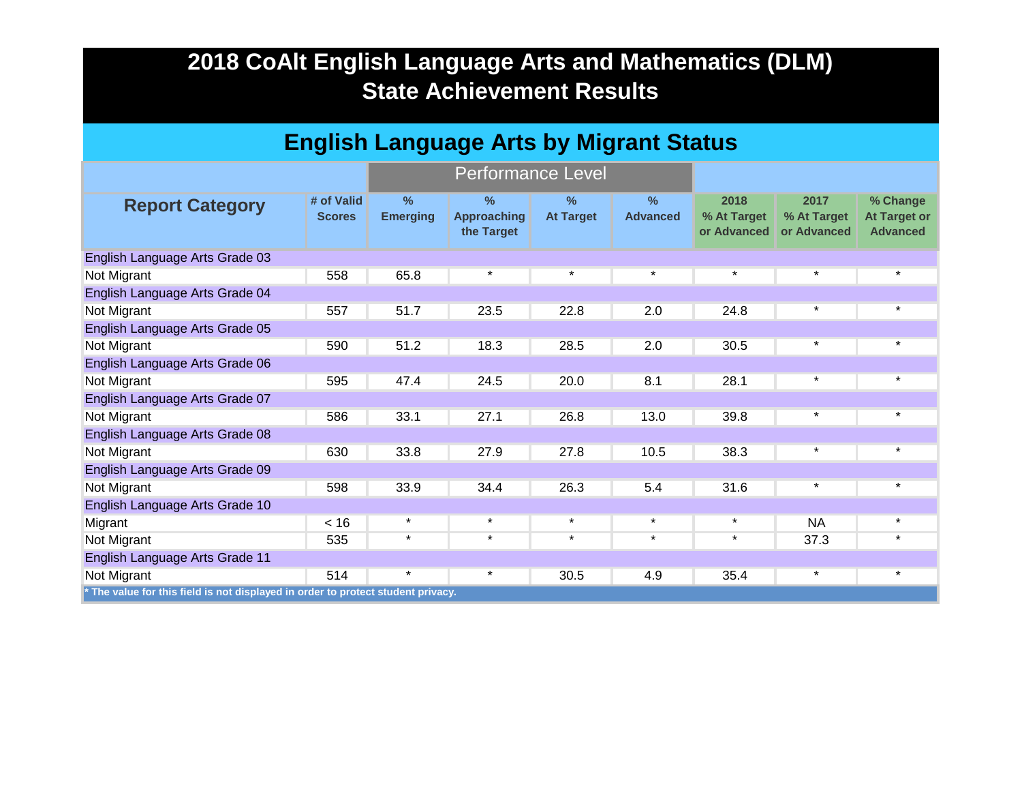| <b>English Language Arts by Migrant Status</b>                                   |                             |                                  |                                          |                          |                         |                                    |                                    |                                                    |
|----------------------------------------------------------------------------------|-----------------------------|----------------------------------|------------------------------------------|--------------------------|-------------------------|------------------------------------|------------------------------------|----------------------------------------------------|
|                                                                                  |                             |                                  | <b>Performance Level</b>                 |                          |                         |                                    |                                    |                                                    |
| <b>Report Category</b>                                                           | # of Valid<br><b>Scores</b> | $\frac{9}{6}$<br><b>Emerging</b> | $\%$<br><b>Approaching</b><br>the Target | $\%$<br><b>At Target</b> | $\%$<br><b>Advanced</b> | 2018<br>% At Target<br>or Advanced | 2017<br>% At Target<br>or Advanced | % Change<br><b>At Target or</b><br><b>Advanced</b> |
| English Language Arts Grade 03                                                   |                             |                                  |                                          |                          |                         |                                    |                                    |                                                    |
| Not Migrant                                                                      | 558                         | 65.8                             | $\star$                                  | $\star$                  | $\star$                 | $\star$                            | $\star$                            | $\star$                                            |
| English Language Arts Grade 04                                                   |                             |                                  |                                          |                          |                         |                                    |                                    |                                                    |
| Not Migrant                                                                      | 557                         | 51.7                             | 23.5                                     | 22.8                     | 2.0                     | 24.8                               | $\star$                            | $\star$                                            |
| English Language Arts Grade 05                                                   |                             |                                  |                                          |                          |                         |                                    |                                    |                                                    |
| Not Migrant                                                                      | 590                         | 51.2                             | 18.3                                     | 28.5                     | 2.0                     | 30.5                               | $\star$                            | $\star$                                            |
| English Language Arts Grade 06                                                   |                             |                                  |                                          |                          |                         |                                    |                                    |                                                    |
| Not Migrant                                                                      | 595                         | 47.4                             | 24.5                                     | 20.0                     | 8.1                     | 28.1                               | $\star$                            | *                                                  |
| English Language Arts Grade 07                                                   |                             |                                  |                                          |                          |                         |                                    |                                    |                                                    |
| Not Migrant                                                                      | 586                         | 33.1                             | 27.1                                     | 26.8                     | 13.0                    | 39.8                               | $\star$                            | $\star$                                            |
| English Language Arts Grade 08                                                   |                             |                                  |                                          |                          |                         |                                    |                                    |                                                    |
| Not Migrant                                                                      | 630                         | 33.8                             | 27.9                                     | 27.8                     | 10.5                    | 38.3                               | $\star$                            | $\star$                                            |
| English Language Arts Grade 09                                                   |                             |                                  |                                          |                          |                         |                                    |                                    |                                                    |
| Not Migrant                                                                      | 598                         | 33.9                             | 34.4                                     | 26.3                     | 5.4                     | 31.6                               | $\star$                            | $\star$                                            |
| English Language Arts Grade 10                                                   |                             |                                  |                                          |                          |                         |                                    |                                    |                                                    |
| Migrant                                                                          | < 16                        | $\star$                          | $\star$                                  | $\star$                  | $\star$                 | $\star$                            | <b>NA</b>                          | $\star$                                            |
| Not Migrant                                                                      | 535                         | $\star$                          | $\star$                                  | $\star$                  | $\star$                 | $\star$                            | 37.3                               | $\star$                                            |
| English Language Arts Grade 11                                                   |                             |                                  |                                          |                          |                         |                                    |                                    |                                                    |
| Not Migrant                                                                      | 514                         | $\star$                          | $\star$                                  | 30.5                     | 4.9                     | 35.4                               | $\star$                            | $\star$                                            |
| * The value for this field is not displayed in order to protect student privacy. |                             |                                  |                                          |                          |                         |                                    |                                    |                                                    |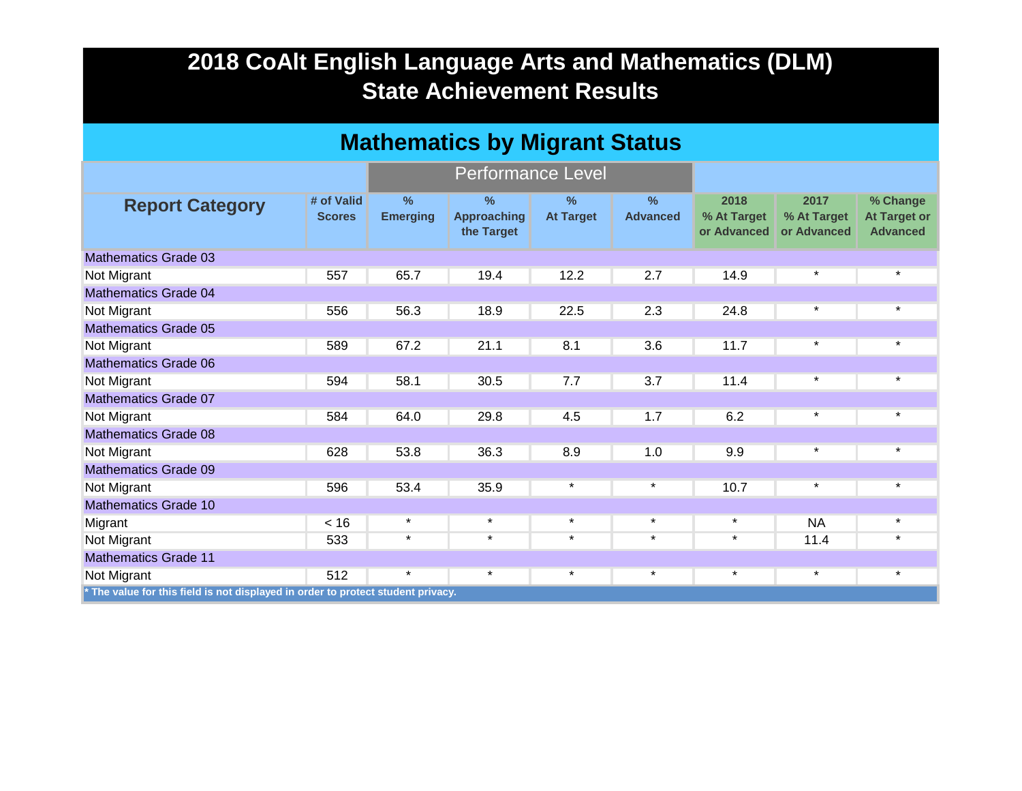| <b>Mathematics by Migrant Status</b>                                             |                             |                                  |                                                   |                                   |                                  |                                    |                                    |                                                    |  |
|----------------------------------------------------------------------------------|-----------------------------|----------------------------------|---------------------------------------------------|-----------------------------------|----------------------------------|------------------------------------|------------------------------------|----------------------------------------------------|--|
|                                                                                  |                             |                                  | <b>Performance Level</b>                          |                                   |                                  |                                    |                                    |                                                    |  |
| <b>Report Category</b>                                                           | # of Valid<br><b>Scores</b> | $\frac{9}{6}$<br><b>Emerging</b> | $\frac{0}{2}$<br><b>Approaching</b><br>the Target | $\frac{9}{6}$<br><b>At Target</b> | $\frac{0}{2}$<br><b>Advanced</b> | 2018<br>% At Target<br>or Advanced | 2017<br>% At Target<br>or Advanced | % Change<br><b>At Target or</b><br><b>Advanced</b> |  |
| <b>Mathematics Grade 03</b>                                                      |                             |                                  |                                                   |                                   |                                  |                                    |                                    |                                                    |  |
| Not Migrant                                                                      | 557                         | 65.7                             | 19.4                                              | 12.2                              | 2.7                              | 14.9                               | $\star$                            | $\star$                                            |  |
| <b>Mathematics Grade 04</b>                                                      |                             |                                  |                                                   |                                   |                                  |                                    |                                    |                                                    |  |
| Not Migrant                                                                      | 556                         | 56.3                             | 18.9                                              | 22.5                              | 2.3                              | 24.8                               | $\star$                            | $\star$                                            |  |
| <b>Mathematics Grade 05</b>                                                      |                             |                                  |                                                   |                                   |                                  |                                    |                                    |                                                    |  |
| Not Migrant                                                                      | 589                         | 67.2                             | 21.1                                              | 8.1                               | 3.6                              | 11.7                               | $\star$                            | $\star$                                            |  |
| <b>Mathematics Grade 06</b>                                                      |                             |                                  |                                                   |                                   |                                  |                                    |                                    |                                                    |  |
| Not Migrant                                                                      | 594                         | 58.1                             | 30.5                                              | 7.7                               | 3.7                              | 11.4                               | $\star$                            | $\star$                                            |  |
| <b>Mathematics Grade 07</b>                                                      |                             |                                  |                                                   |                                   |                                  |                                    |                                    |                                                    |  |
| Not Migrant                                                                      | 584                         | 64.0                             | 29.8                                              | 4.5                               | 1.7                              | 6.2                                | $\star$                            | $\star$                                            |  |
| <b>Mathematics Grade 08</b>                                                      |                             |                                  |                                                   |                                   |                                  |                                    |                                    |                                                    |  |
| Not Migrant                                                                      | 628                         | 53.8                             | 36.3                                              | 8.9                               | 1.0                              | 9.9                                | $\star$                            | $\star$                                            |  |
| <b>Mathematics Grade 09</b>                                                      |                             |                                  |                                                   |                                   |                                  |                                    |                                    |                                                    |  |
| Not Migrant                                                                      | 596                         | 53.4                             | 35.9                                              | $\star$                           | $\star$                          | 10.7                               | $\star$                            | $\star$                                            |  |
| <b>Mathematics Grade 10</b>                                                      |                             |                                  |                                                   |                                   |                                  |                                    |                                    |                                                    |  |
| Migrant                                                                          | < 16                        | $\star$                          | $\star$                                           | $\star$                           | $\star$                          | $\star$                            | <b>NA</b>                          | $\star$                                            |  |
| Not Migrant                                                                      | 533                         | $\star$                          | $\star$                                           | $\star$                           | $\star$                          | $\star$                            | 11.4                               | $\star$                                            |  |
| <b>Mathematics Grade 11</b>                                                      |                             |                                  |                                                   |                                   |                                  |                                    |                                    |                                                    |  |
| Not Migrant                                                                      | 512                         | $\star$                          | $\star$                                           | $\star$                           | $\star$                          | $\star$                            | $\star$                            | $\star$                                            |  |
| * The value for this field is not displayed in order to protect student privacy. |                             |                                  |                                                   |                                   |                                  |                                    |                                    |                                                    |  |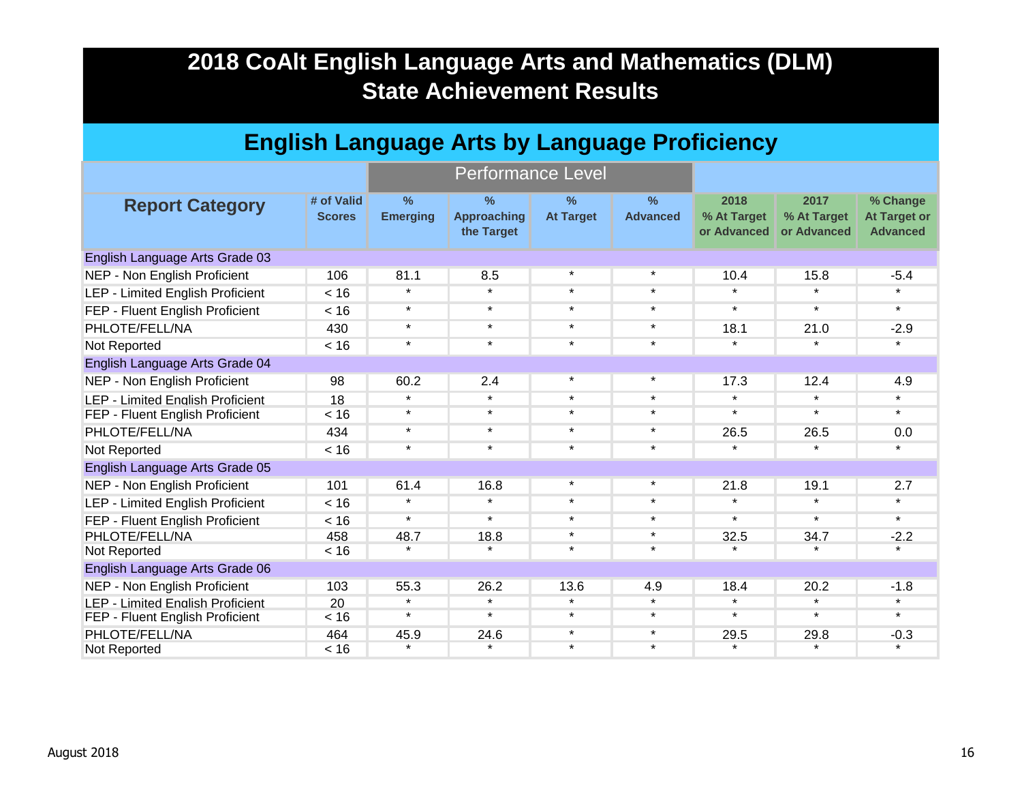| <b>English Language Arts by Language Proficiency</b> |                             |                                  |                                                   |                                   |                                  |                                    |                                    |                                                    |  |
|------------------------------------------------------|-----------------------------|----------------------------------|---------------------------------------------------|-----------------------------------|----------------------------------|------------------------------------|------------------------------------|----------------------------------------------------|--|
|                                                      |                             |                                  | <b>Performance Level</b>                          |                                   |                                  |                                    |                                    |                                                    |  |
| <b>Report Category</b>                               | # of Valid<br><b>Scores</b> | $\frac{9}{6}$<br><b>Emerging</b> | $\frac{9}{6}$<br><b>Approaching</b><br>the Target | $\frac{9}{6}$<br><b>At Target</b> | $\frac{9}{6}$<br><b>Advanced</b> | 2018<br>% At Target<br>or Advanced | 2017<br>% At Target<br>or Advanced | % Change<br><b>At Target or</b><br><b>Advanced</b> |  |
| English Language Arts Grade 03                       |                             |                                  |                                                   |                                   |                                  |                                    |                                    |                                                    |  |
| NEP - Non English Proficient                         | 106                         | 81.1                             | 8.5                                               | $\star$                           | $\star$                          | 10.4                               | 15.8                               | $-5.4$                                             |  |
| <b>LEP - Limited English Proficient</b>              | < 16                        | $\star$                          | $\star$                                           | $\star$                           | $\star$                          | $\star$                            | $\star$                            | $\star$                                            |  |
| FEP - Fluent English Proficient                      | < 16                        | $\star$                          | $\star$                                           | $\star$                           | $\star$                          | $\star$                            | $\star$                            | $\star$                                            |  |
| PHLOTE/FELL/NA                                       | 430                         | $\star$                          | $\star$                                           | $\star$                           | $\star$                          | 18.1                               | 21.0                               | $-2.9$                                             |  |
| Not Reported                                         | < 16                        | $\star$                          | $\star$                                           | $\star$                           | $\star$                          | $\star$                            | $\star$                            | $\star$                                            |  |
| English Language Arts Grade 04                       |                             |                                  |                                                   |                                   |                                  |                                    |                                    |                                                    |  |
| NEP - Non English Proficient                         | 98                          | 60.2                             | 2.4                                               | $\star$                           | $\star$                          | 17.3                               | 12.4                               | 4.9                                                |  |
| <b>LEP - Limited English Proficient</b>              | 18                          | $\star$                          | $\star$                                           | $\star$                           | $\star$                          | $\star$                            | $\star$                            | $\star$                                            |  |
| FEP - Fluent English Proficient                      | < 16                        | $\star$                          | $\star$                                           | $\star$                           | $\star$                          | $\star$                            | $\star$                            | $\star$                                            |  |
| PHLOTE/FELL/NA                                       | 434                         | $\star$                          | $\star$                                           | $\star$                           | $\star$                          | 26.5                               | 26.5                               | 0.0                                                |  |
| Not Reported                                         | < 16                        | $\star$                          | $\star$                                           | $\star$                           | $\star$                          | $\star$                            | $\star$                            | $\star$                                            |  |
| English Language Arts Grade 05                       |                             |                                  |                                                   |                                   |                                  |                                    |                                    |                                                    |  |
| NEP - Non English Proficient                         | 101                         | 61.4                             | 16.8                                              | $\star$                           | $\star$                          | 21.8                               | 19.1                               | 2.7                                                |  |
| LEP - Limited English Proficient                     | < 16                        | $\star$                          | $\star$                                           | $\star$                           | $\star$                          | $\star$                            | $\star$                            | $\star$                                            |  |
| FEP - Fluent English Proficient                      | < 16                        | $\star$                          | $\star$                                           | $\star$                           | $\star$                          | $\star$                            | $\star$                            | $\star$                                            |  |
| PHLOTE/FELL/NA                                       | 458                         | 48.7                             | 18.8                                              | $\star$                           | $\star$                          | 32.5                               | 34.7                               | $-2.2$                                             |  |
| Not Reported                                         | < 16                        | $\star$                          | $\star$                                           | $\star$                           | $\star$                          | $\star$                            | $\star$                            | $\star$                                            |  |
| English Language Arts Grade 06                       |                             |                                  |                                                   |                                   |                                  |                                    |                                    |                                                    |  |
| NEP - Non English Proficient                         | 103                         | 55.3                             | 26.2                                              | 13.6                              | 4.9                              | 18.4                               | 20.2                               | $-1.8$                                             |  |
| <b>LEP - Limited Enalish Proficient</b>              | 20                          | $\star$                          | $\star$                                           | $\star$                           | $\star$                          | $\star$                            | $\star$                            | $\star$                                            |  |
| FEP - Fluent English Proficient                      | < 16                        | $\star$                          | $\star$                                           | $\star$                           | $\star$                          | $\star$                            | $\star$                            | $\star$                                            |  |
| PHLOTE/FELL/NA                                       | 464                         | 45.9                             | 24.6                                              | $\star$                           | $\star$                          | 29.5                               | 29.8                               | $-0.3$                                             |  |
| Not Reported                                         | < 16                        | $\star$                          | $\star$                                           | $\star$                           | $\star$                          | $\star$                            | $\star$                            | $\star$                                            |  |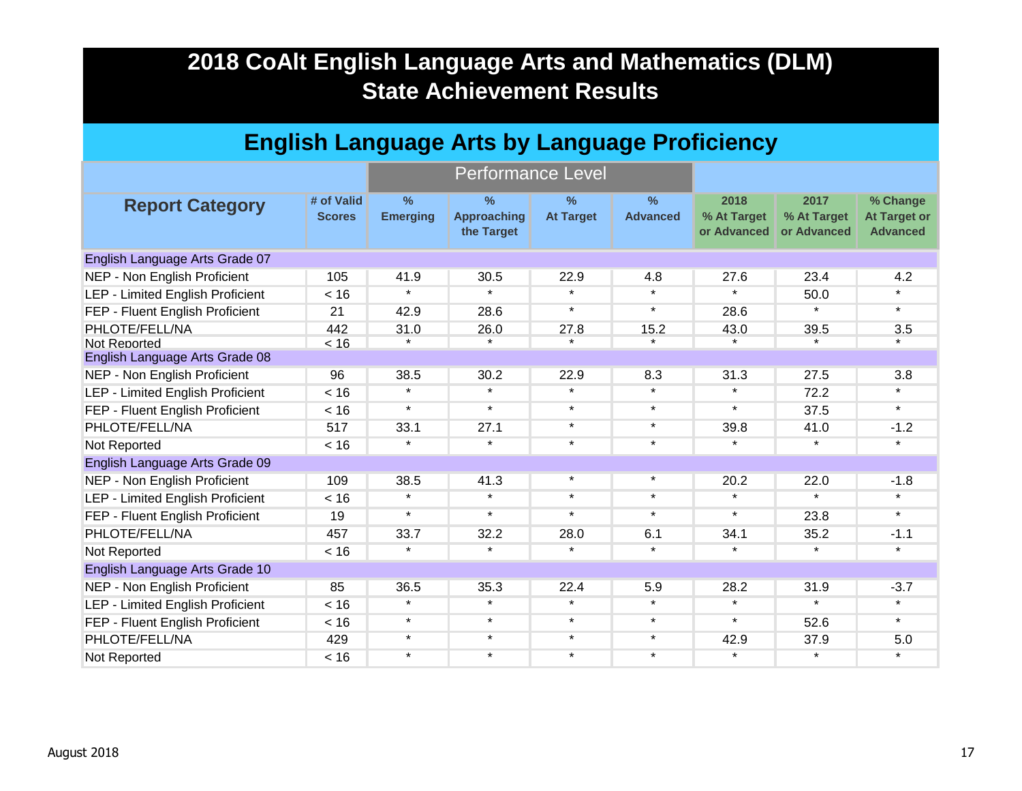| <b>English Language Arts by Language Proficiency</b> |                             |                                  |                                          |                          |                                  |                                    |                                    |                                                    |  |  |
|------------------------------------------------------|-----------------------------|----------------------------------|------------------------------------------|--------------------------|----------------------------------|------------------------------------|------------------------------------|----------------------------------------------------|--|--|
|                                                      |                             |                                  | <b>Performance Level</b>                 |                          |                                  |                                    |                                    |                                                    |  |  |
| <b>Report Category</b>                               | # of Valid<br><b>Scores</b> | $\frac{9}{6}$<br><b>Emerging</b> | $\%$<br><b>Approaching</b><br>the Target | $\%$<br><b>At Target</b> | $\frac{9}{6}$<br><b>Advanced</b> | 2018<br>% At Target<br>or Advanced | 2017<br>% At Target<br>or Advanced | % Change<br><b>At Target or</b><br><b>Advanced</b> |  |  |
| English Language Arts Grade 07                       |                             |                                  |                                          |                          |                                  |                                    |                                    |                                                    |  |  |
| NEP - Non English Proficient                         | 105                         | 41.9                             | 30.5                                     | 22.9                     | 4.8                              | 27.6                               | 23.4                               | 4.2                                                |  |  |
| <b>LEP - Limited English Proficient</b>              | < 16                        | $\star$                          | $\star$                                  | $\star$                  | $\star$                          | $\star$                            | 50.0                               | $\star$                                            |  |  |
| FEP - Fluent English Proficient                      | 21                          | 42.9                             | 28.6                                     | $\star$                  | $\star$                          | 28.6                               | $\star$                            | $\star$                                            |  |  |
| PHLOTE/FELL/NA                                       | 442                         | 31.0                             | 26.0                                     | 27.8                     | 15.2                             | 43.0                               | 39.5                               | 3.5                                                |  |  |
| Not Reported                                         | < 16                        |                                  | $\star$                                  | $\star$                  | $\star$                          |                                    | $\star$                            | $\star$                                            |  |  |
| English Language Arts Grade 08                       |                             |                                  |                                          |                          |                                  |                                    |                                    |                                                    |  |  |
| NEP - Non English Proficient                         | 96                          | 38.5                             | 30.2                                     | 22.9                     | 8.3                              | 31.3                               | 27.5                               | 3.8                                                |  |  |
| <b>LEP - Limited English Proficient</b>              | < 16                        | $\star$                          | $\star$                                  | $\star$                  | $\star$                          | $\star$                            | 72.2                               | $\star$                                            |  |  |
| FEP - Fluent English Proficient                      | < 16                        | $\star$                          | $\star$                                  | $\star$                  | $\star$                          | $\star$                            | 37.5                               | $\star$                                            |  |  |
| PHLOTE/FELL/NA                                       | 517                         | 33.1                             | 27.1                                     | $\star$                  | $\star$                          | 39.8                               | 41.0                               | $-1.2$                                             |  |  |
| Not Reported                                         | < 16                        | $\star$                          | $\star$                                  | $\star$                  | $\star$                          | $\star$                            | $\star$                            | $\star$                                            |  |  |
| English Language Arts Grade 09                       |                             |                                  |                                          |                          |                                  |                                    |                                    |                                                    |  |  |
| NEP - Non English Proficient                         | 109                         | 38.5                             | 41.3                                     | $\star$                  | $\star$                          | 20.2                               | 22.0                               | $-1.8$                                             |  |  |
| <b>LEP - Limited English Proficient</b>              | < 16                        | $\star$                          | $\star$                                  | $\star$                  | $\star$                          | $\star$                            | $\star$                            | $\star$                                            |  |  |
| FEP - Fluent English Proficient                      | 19                          | $\star$                          | $\star$                                  | $\star$                  | $\star$                          | $\star$                            | 23.8                               | $\star$                                            |  |  |
| PHLOTE/FELL/NA                                       | 457                         | 33.7                             | 32.2                                     | 28.0                     | 6.1                              | 34.1                               | 35.2                               | $-1.1$                                             |  |  |
| Not Reported                                         | < 16                        | $\star$                          | $\star$                                  | $\star$                  | $\star$                          | $\star$                            | $\star$                            | $\star$                                            |  |  |
| English Language Arts Grade 10                       |                             |                                  |                                          |                          |                                  |                                    |                                    |                                                    |  |  |
| NEP - Non English Proficient                         | 85                          | 36.5                             | 35.3                                     | 22.4                     | 5.9                              | 28.2                               | 31.9                               | $-3.7$                                             |  |  |
| <b>LEP - Limited English Proficient</b>              | < 16                        | $\star$                          | $\star$                                  | $\star$                  | $\star$                          | $\star$                            | $\star$                            | $\star$                                            |  |  |
| FEP - Fluent English Proficient                      | < 16                        | $\star$                          | $\star$                                  | $\star$                  | $\star$                          | $\star$                            | 52.6                               | $\star$                                            |  |  |
| PHLOTE/FELL/NA                                       | 429                         | $\star$                          | $\star$                                  | $\star$                  | $\star$                          | 42.9                               | 37.9                               | 5.0                                                |  |  |
| Not Reported                                         | < 16                        | $\star$                          | $\star$                                  | $\star$                  | $\star$                          | $\star$                            | $\star$                            | $\star$                                            |  |  |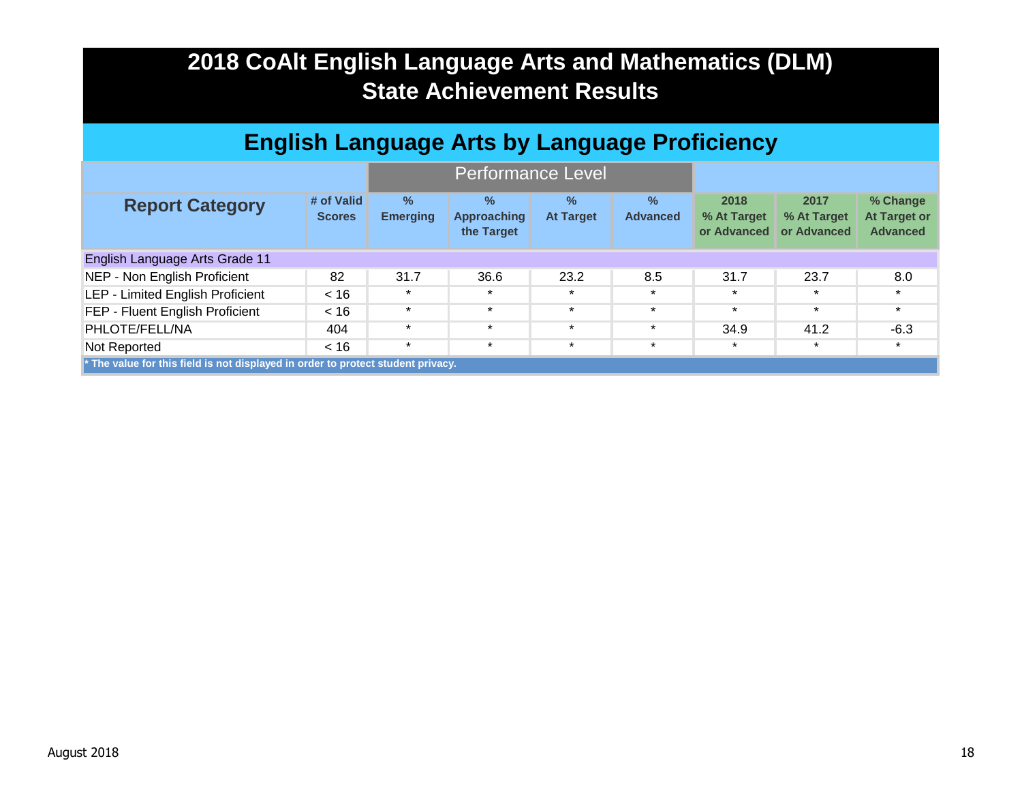| <b>English Language Arts by Language Proficiency</b> |                                                                                  |                                  |                                                   |                                   |                         |                                    |                                    |                                                    |  |
|------------------------------------------------------|----------------------------------------------------------------------------------|----------------------------------|---------------------------------------------------|-----------------------------------|-------------------------|------------------------------------|------------------------------------|----------------------------------------------------|--|
|                                                      |                                                                                  |                                  | <b>Performance Level</b>                          |                                   |                         |                                    |                                    |                                                    |  |
| <b>Report Category</b>                               | # of Valid<br><b>Scores</b>                                                      | $\frac{9}{6}$<br><b>Emerging</b> | $\frac{0}{2}$<br><b>Approaching</b><br>the Target | $\frac{9}{6}$<br><b>At Target</b> | $\%$<br><b>Advanced</b> | 2018<br>% At Target<br>or Advanced | 2017<br>% At Target<br>or Advanced | % Change<br><b>At Target or</b><br><b>Advanced</b> |  |
| English Language Arts Grade 11                       |                                                                                  |                                  |                                                   |                                   |                         |                                    |                                    |                                                    |  |
| NEP - Non English Proficient                         | 82                                                                               | 31.7                             | 36.6                                              | 23.2                              | 8.5                     | 31.7                               | 23.7                               | 8.0                                                |  |
| LEP - Limited English Proficient                     | < 16                                                                             | $\star$                          | $\star$                                           | $\star$                           | $\star$                 | $\star$                            | $\star$                            | $\star$                                            |  |
| FEP - Fluent English Proficient                      | < 16                                                                             | $\star$                          | $\star$                                           | $\star$                           | $\star$                 | $\star$                            | $\star$                            | $\star$                                            |  |
| PHLOTE/FELL/NA                                       | 404                                                                              | $\star$                          | $\star$                                           | $\star$                           | $\star$                 | 34.9                               | 41.2                               | $-6.3$                                             |  |
| Not Reported                                         | < 16                                                                             | $\star$                          | $\star$                                           | $\star$                           | $\star$                 | $\star$                            | $\star$                            | $\star$                                            |  |
|                                                      | * The value for this field is not displayed in order to protect student privacy. |                                  |                                                   |                                   |                         |                                    |                                    |                                                    |  |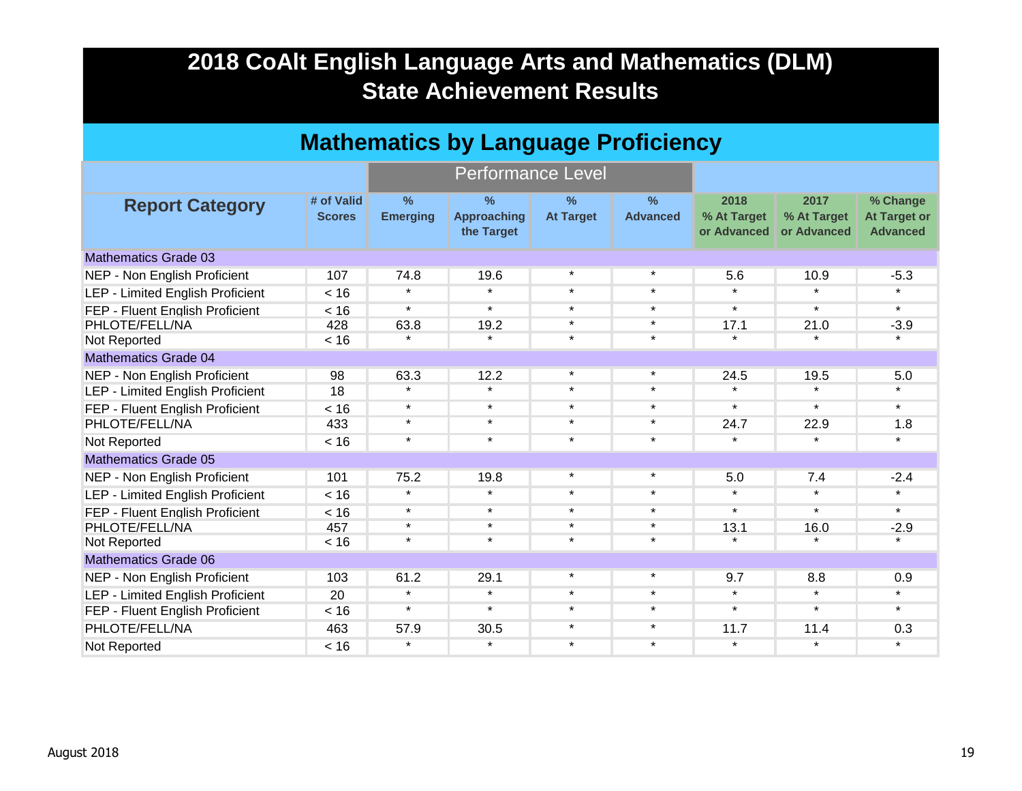| <b>Mathematics by Language Proficiency</b> |                             |                         |                                          |                                   |                                  |                                    |                                    |                                                    |  |
|--------------------------------------------|-----------------------------|-------------------------|------------------------------------------|-----------------------------------|----------------------------------|------------------------------------|------------------------------------|----------------------------------------------------|--|
|                                            |                             |                         | <b>Performance Level</b>                 |                                   |                                  |                                    |                                    |                                                    |  |
| <b>Report Category</b>                     | # of Valid<br><b>Scores</b> | $\%$<br><b>Emerging</b> | $\%$<br><b>Approaching</b><br>the Target | $\frac{9}{6}$<br><b>At Target</b> | $\frac{9}{6}$<br><b>Advanced</b> | 2018<br>% At Target<br>or Advanced | 2017<br>% At Target<br>or Advanced | % Change<br><b>At Target or</b><br><b>Advanced</b> |  |
| <b>Mathematics Grade 03</b>                |                             |                         |                                          |                                   |                                  |                                    |                                    |                                                    |  |
| NEP - Non English Proficient               | 107                         | 74.8                    | 19.6                                     | $\star$                           | $\star$                          | 5.6                                | 10.9                               | $-5.3$                                             |  |
| <b>LEP - Limited English Proficient</b>    | < 16                        | $\star$                 | $\star$                                  | $\star$                           | $\star$                          | $\star$                            | $\ddot{\phantom{1}}$               | $\star$                                            |  |
| FEP - Fluent English Proficient            | < 16                        | $\star$                 | $\star$                                  | $\star$                           | $\star$                          | $\star$                            | $\star$                            | $\star$                                            |  |
| PHLOTE/FELL/NA                             | 428                         | 63.8                    | 19.2                                     | $\star$                           | $\star$                          | 17.1                               | 21.0                               | $-3.9$                                             |  |
| Not Reported                               | < 16                        | *                       | $\star$                                  | $\star$                           | $\star$                          | $\star$                            | $\star$                            | $\star$                                            |  |
| <b>Mathematics Grade 04</b>                |                             |                         |                                          |                                   |                                  |                                    |                                    |                                                    |  |
| NEP - Non English Proficient               | 98                          | 63.3                    | 12.2                                     | $\star$                           | $\star$                          | 24.5                               | 19.5                               | 5.0                                                |  |
| LEP - Limited English Proficient           | 18                          | $\star$                 | $\star$                                  | $\star$                           | $\star$                          | $\star$                            | $\star$                            | $\star$                                            |  |
| FEP - Fluent English Proficient            | < 16                        | $\star$                 | $\star$                                  | $\star$                           | $\star$                          | $\star$                            | $\star$                            | $\star$                                            |  |
| PHLOTE/FELL/NA                             | 433                         | $\star$                 | $\star$                                  | $\star$                           | $\star$                          | 24.7                               | 22.9                               | 1.8                                                |  |
| Not Reported                               | < 16                        | $\star$                 | $\star$                                  | $\star$                           | $\star$                          | $\star$                            | $\star$                            | $\star$                                            |  |
| <b>Mathematics Grade 05</b>                |                             |                         |                                          |                                   |                                  |                                    |                                    |                                                    |  |
| NEP - Non English Proficient               | 101                         | 75.2                    | 19.8                                     | $\star$                           | $\star$                          | 5.0                                | 7.4                                | $-2.4$                                             |  |
| LEP - Limited English Proficient           | < 16                        | $\star$                 | $\star$                                  | $\star$                           | $\star$                          | $\star$                            | $\star$                            | $\star$                                            |  |
| FEP - Fluent English Proficient            | < 16                        | $\star$                 | $\star$                                  | $\star$                           | $\star$                          | $\star$                            | $\star$                            | $\star$                                            |  |
| PHLOTE/FELL/NA                             | 457                         | $\star$                 | $\star$                                  | $\star$                           | $\star$                          | 13.1                               | 16.0                               | $-2.9$                                             |  |
| Not Reported                               | < 16                        | $\star$                 | $\star$                                  | $\star$                           | $\star$                          | $\star$                            | $\star$                            | $\star$                                            |  |
| <b>Mathematics Grade 06</b>                |                             |                         |                                          |                                   |                                  |                                    |                                    |                                                    |  |
| NEP - Non English Proficient               | 103                         | 61.2                    | 29.1                                     | $\star$                           | $\star$                          | 9.7                                | 8.8                                | 0.9                                                |  |
| <b>LEP - Limited English Proficient</b>    | 20                          | $\star$                 | $\star$                                  | $\star$                           | $\star$                          | $\star$                            | $\star$                            | $\star$                                            |  |
| FEP - Fluent English Proficient            | < 16                        | $\star$                 | $\star$                                  | $\star$                           | $\star$                          | $\star$                            | $\star$                            | $\star$                                            |  |
| PHLOTE/FELL/NA                             | 463                         | 57.9                    | 30.5                                     | $\star$                           | $\star$                          | 11.7                               | 11.4                               | 0.3                                                |  |
| Not Reported                               | < 16                        | $\star$                 | $\star$                                  | $\star$                           | $\star$                          | $\star$                            | $\star$                            | $\star$                                            |  |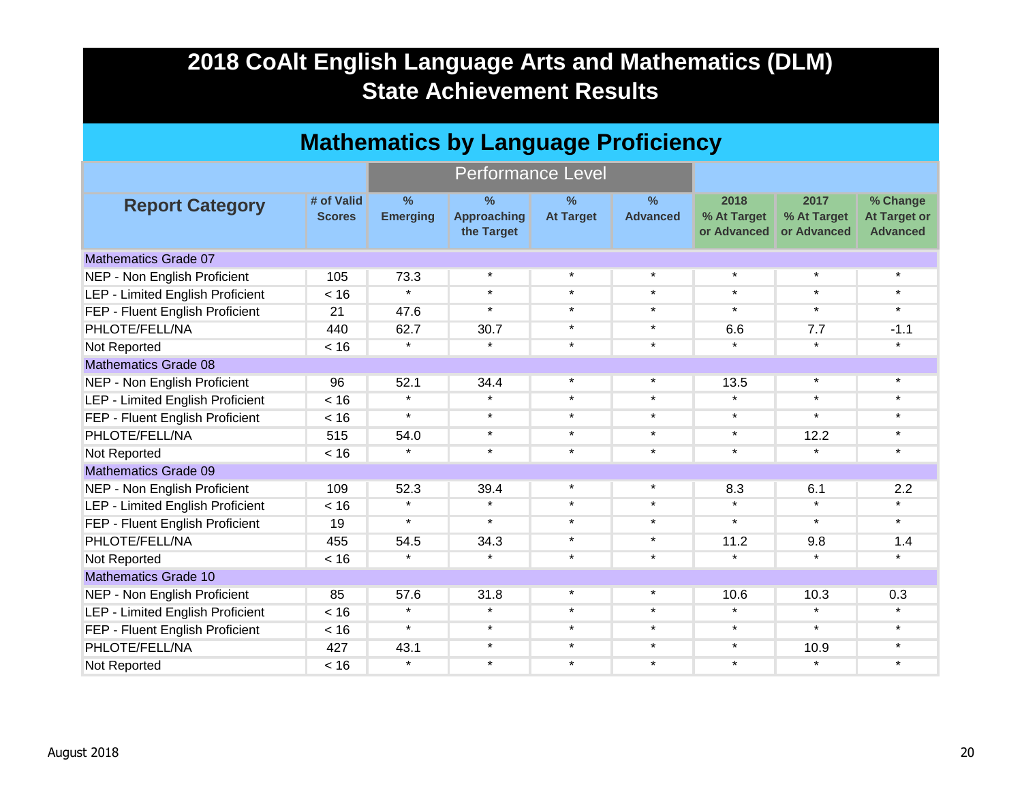| <b>Mathematics by Language Proficiency</b> |                             |                                  |                                       |                          |                      |                                    |                                    |                                                    |  |
|--------------------------------------------|-----------------------------|----------------------------------|---------------------------------------|--------------------------|----------------------|------------------------------------|------------------------------------|----------------------------------------------------|--|
|                                            |                             |                                  | <b>Performance Level</b>              |                          |                      |                                    |                                    |                                                    |  |
| <b>Report Category</b>                     | # of Valid<br><b>Scores</b> | $\frac{9}{6}$<br><b>Emerging</b> | %<br><b>Approaching</b><br>the Target | $\%$<br><b>At Target</b> | %<br><b>Advanced</b> | 2018<br>% At Target<br>or Advanced | 2017<br>% At Target<br>or Advanced | % Change<br><b>At Target or</b><br><b>Advanced</b> |  |
| <b>Mathematics Grade 07</b>                |                             |                                  |                                       |                          |                      |                                    |                                    |                                                    |  |
| NEP - Non English Proficient               | 105                         | 73.3                             | $\star$                               | $\star$                  | $\star$              | $\star$                            | $\star$                            | $\star$                                            |  |
| <b>LEP - Limited English Proficient</b>    | < 16                        | $\star$                          | $\star$                               | $\star$                  | $\star$              | $\star$                            | $\star$                            | $\star$                                            |  |
| FEP - Fluent English Proficient            | 21                          | 47.6                             | $\star$                               | $\star$                  | $\star$              | $\star$                            | $\star$                            | $\star$                                            |  |
| PHLOTE/FELL/NA                             | 440                         | 62.7                             | 30.7                                  | $\star$                  | $\star$              | 6.6                                | 7.7                                | $-1.1$                                             |  |
| Not Reported                               | < 16                        | $\star$                          | $\star$                               | $\star$                  | $\star$              | $\star$                            | $\star$                            | $\star$                                            |  |
| <b>Mathematics Grade 08</b>                |                             |                                  |                                       |                          |                      |                                    |                                    |                                                    |  |
| NEP - Non English Proficient               | 96                          | 52.1                             | 34.4                                  | $\star$                  | $\star$              | 13.5                               | $\star$                            | $\star$                                            |  |
| <b>LEP - Limited English Proficient</b>    | < 16                        | $\star$                          | $\star$                               | $\star$                  | $\star$              | $\star$                            | $\star$                            | $\star$                                            |  |
| FEP - Fluent English Proficient            | < 16                        | $\star$                          | $\star$                               | $\star$                  | $\star$              | $\star$                            | $\star$                            | $\star$                                            |  |
| PHLOTE/FELL/NA                             | 515                         | 54.0                             | $\star$                               | $\star$                  | $\star$              | $\star$                            | 12.2                               | $\star$                                            |  |
| Not Reported                               | < 16                        | $\star$                          | $\star$                               | $\star$                  | $\star$              | $\star$                            | $\star$                            | *                                                  |  |
| <b>Mathematics Grade 09</b>                |                             |                                  |                                       |                          |                      |                                    |                                    |                                                    |  |
| NEP - Non English Proficient               | 109                         | 52.3                             | 39.4                                  | $\star$                  | $\star$              | 8.3                                | 6.1                                | 2.2                                                |  |
| <b>LEP - Limited English Proficient</b>    | < 16                        | $\star$                          | $\star$                               | $\star$                  | $\star$              | $\star$                            | $\star$                            | $\star$                                            |  |
| FEP - Fluent English Proficient            | 19                          | $\star$                          | $\star$                               | $\star$                  | $\star$              | $\star$                            | $\star$                            | $\star$                                            |  |
| PHLOTE/FELL/NA                             | 455                         | 54.5                             | 34.3                                  | $\star$                  | $\star$              | 11.2                               | 9.8                                | 1.4                                                |  |
| Not Reported                               | < 16                        | $\star$                          | $\star$                               | $\star$                  | $\star$              | $\star$                            | $\star$                            | *                                                  |  |
| <b>Mathematics Grade 10</b>                |                             |                                  |                                       |                          |                      |                                    |                                    |                                                    |  |
| NEP - Non English Proficient               | 85                          | 57.6                             | 31.8                                  | $\star$                  | $\star$              | 10.6                               | 10.3                               | 0.3                                                |  |
| <b>LEP - Limited English Proficient</b>    | < 16                        | $\star$                          | $\star$                               | $\star$                  | $\star$              | $\star$                            | $\star$                            | $\star$                                            |  |
| FEP - Fluent English Proficient            | < 16                        | $\star$                          | $\star$                               | $\star$                  | $\star$              | $\star$                            | $\star$                            | $\star$                                            |  |
| PHLOTE/FELL/NA                             | 427                         | 43.1                             | $\star$                               | $\star$                  | $\star$              | $\star$                            | 10.9                               | $\star$                                            |  |
| Not Reported                               | < 16                        | $\star$                          | $\star$                               | $\star$                  | $\star$              | $\star$                            | $\star$                            | $\star$                                            |  |